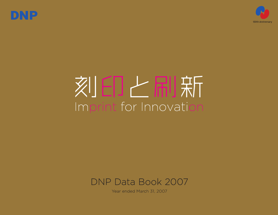



# 刻日上刷新 Imprint for Innovation



Year ended March 31, 2007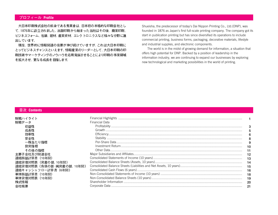# **プロフィール Profile**

大日本印刷株式会社の前身である秀英舎は、日本初の本格的な印刷会社とし て、1876年に設立されました。出版印刷から始まった当社はその後、商業印刷、 ビジネスフォーム、包装、建材、産業資材、エレクトロニクスなど様々な分野に進 出しています。

現在、世界的に情報関連の需要が伸び続けていますが、これは大日本印刷に とってビジネスチャンスといえます。情報産業のリーダーとして、大日本印刷の印 刷技術やマーケティングのノウハウを応用発展させることにより印刷の事業領域 を拡大させ、更なる成長を目指します。

Shueisha, the predecessor of today's Dai Nippon Printing Co., Ltd.(DNP), was founded in 1876 as Japan's first full-scale printing company. The company got its start in publication printing but has since diversified its operations to include commercial printing, business forms, packaging, decorative materials, lifestyle and industrial supplies, and electronic components.

The world is in the midst of growing demand for information, a situation that offers high potential for DNP. Backed by a position of leadership in the information industry, we are continuing to expand our businesses by exploring new technological and marketing possibilities in the world of printing.

### **目次 Contents**

| 財務ハイライト<br>財務データ          | <b>Financial Data</b> |     |
|---------------------------|-----------------------|-----|
|                           |                       |     |
| 成長性                       |                       |     |
| 効率性                       |                       |     |
| 安全性                       |                       |     |
| 一株当たり指標                   |                       |     |
| 投資指標                      |                       | 10  |
| その他の指標                    |                       |     |
| 主要子会社及び関連会社               |                       | 12  |
| 連結損益計算書 (10年間)            |                       | -13 |
| 連結貸借対照表 (資産の部、10年間)       |                       | 14  |
| 連結貸借対照表 (負債の部・純資産の部、10年間) |                       | 15  |
| 連結キャッシュフロー計算書(6年間)        |                       | 16  |
| 単体損益計算書(10年間)             |                       | 18  |
| 単体貸借対照表 (10年間)            |                       | 19  |
| 株式情報                      |                       | -20 |
| 会社概要                      |                       |     |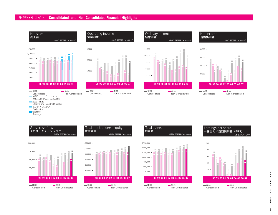# **財務ハイライト Consolidated and Non-Consolidated Financial Highlights**





Operating income

**営業利益**





Net income



単体

**98 99 00 01 02 03 04 05 06 07**

Non-Consolidated

連結 **Consolidated** 

50,000



Total stockholders' equity

(単位:百万円/¥ million)

**株主資本**







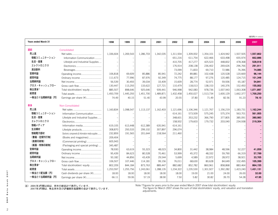(**百万円 /** ¥ million)

| <b>Years ended March 31</b> |                                                    | 1998      | 1999      | 2000      | 2001      | 2002      | 2003      | 2004      | 2005      | 2006      | 2007      |
|-----------------------------|----------------------------------------------------|-----------|-----------|-----------|-----------|-----------|-----------|-----------|-----------|-----------|-----------|
| 連結                          | Consolidated                                       |           |           |           |           |           |           |           |           |           |           |
| 売上高                         |                                                    | 1.336.604 | 1.269.543 | 1.286.703 | 1.342.035 | 1,311,934 | 1,309,002 | 1,354,101 | 1,424,942 | 1,507,505 | 1,557,802 |
| 情報コミュニケーション                 | Information Communication                          |           |           |           |           | 651,216   | 611,754   | 622,466   | 633,498   | 655,974   | 662,886   |
| 生活・産業                       | Lifestyle and Industrial Supplies                  |           |           |           |           | 410,705   | 417,277   | 425,523   | 448,832   | 478,368   | 528,918   |
| エレクトロニクス                    |                                                    |           |           |           |           | 176,914   | 208,138   | 236,402   | 269,626   | 296,766   | 291,911   |
| 清涼飲料                        |                                                    |           |           |           |           | 73,099    | 71,833    | 69,710    | 72,986    | 76.396    | 74,085    |
| 営業利益                        | Operating income                                   | 106,818   | 69,609    | 85,886    | 85,941    | 72,242    | 89,881    | 102,438   | 120,528   | 120,669   | 96,144    |
| 経常利益                        | Ordinary income                                    | 111,673   | 77,996    | 87,976    | 92,349    | 74,775    | 88,177    | 97,276    | 120,485   | 124,715   | 101,348   |
| 当期純利益                       |                                                    | 56,539    | 30,493    | 39,034    | 33,409    | 15,609    | 28,774    | 52,971    | 59,936    | 65,187    | 54,841    |
| グロス・キャッシュフロー                | Gross cash flow                                    | 130,447   | 113,293   | 133,622   | 127,721   | 110,479   | 118,013   | 138,153   | 140,376   | 152,450   | 155,002   |
| 株主資本*                       | Total stockholders' equity                         | 885,507   | 898,646   | 925,646   | 939,441   | 946,998   | 942,083   | 978,736   | 1,007,943 | 1,063,308 | 1,071,897 |
| 総資産                         |                                                    | 1,450,709 | 1,445,293 | 1,451,700 | 1,489,871 | 1,432,458 | 1,450,027 | 1,513,734 | 1,600,129 | 1,662,377 | 1,700,250 |
| 一株当たり当期純利益(円)               | Earnings per share (¥)                             | 74.49     | 40.15     | 51.40     | 43.99     | 20.55     | 37.80     | 71.49     | 82.56     | 91.23     | 78.10     |
|                             |                                                    |           |           |           |           |           |           |           |           |           |           |
| 単体                          | Non-Consolidated                                   |           |           |           |           |           |           |           |           |           |           |
| 売上高                         |                                                    | 1,160,834 | 1,098,547 | 1,113,137 | 1,162,403 | 1,121,696 | 1,106,346 | 1,121,767 | 1,156,219 | 1,183,731 | 1,162,244 |
| 情報コミュニケーション                 | Information Communication                          |           |           |           |           | 614,161   | 573,509   | 575,245   | 575,374   | 563,701   | 561,955   |
| 生活・産業                       | Lifestyle and Industrial Supplies                  |           |           |           |           | 348,601   | 353,232   | 366,790   | 377,805   | 385,091   | 380,983   |
| エレクトロニクス                    |                                                    |           |           |           |           | 158,932   | 179,603   | 179,732   | 203,040   | 234,938   | 219,304   |
| 情報メディア                      | Information media                                  | 619,105   | 613,448   | 612,389   | 635,941   | 614,161   |           |           |           |           |           |
| 生活構材                        | Lifestyle products                                 | 308,870   | 293,533   | 299,102   | 307,897   | 296,074   |           |           |           |           |           |
| 情報電子部材                      | Electronic components & Information media supplies | 232,859   | 191,565   | 201,644   | 218,564   | 211.460   |           |           |           |           |           |
| (書籍・定期刊行物)                  | (Books and magazines)                              | 209,404   |           |           |           |           |           |           |           |           |           |
| (商業印刷物)                     | (Commercial printing)                              | 605,943   |           |           |           |           |           |           |           |           |           |
| (紙器・特殊印刷物)                  | (Packaging and special printing)                   | 345,487   |           |           |           |           |           |           |           |           |           |
| 営業利益                        | Operating income                                   | 78,930    | 63,619    | 55,323    | 48,023    | 34,800    | 31,442    | 38,984    | 48,596    | 52,227    | 41,059    |
| 経常利益                        | Ordinary income                                    | 95,439    | 84,623    | 80,528    | 70,461    | 53,999    | 45,372    | 48,332    | 59,790    | 66,319    | 57,799    |
| 当期純利益                       |                                                    | 50,182    | 44,856    | 43,439    | 29,544    | 5,699     | 4,589     | 22,972    | 28,972    | 38,921    | 33,705    |
| グロス・キャッシュフロー                | Gross cash flow                                    | 106,507   | 107,446   | 114,181   | 99,156    | 76,011    | 68,630    | 80,628    | 84,649    | 102,495   | 105,399   |
| 株主資本*                       | Total stockholders' equity                         | 802,209   | 844,184   | 873,763   | 889,447   | 882,682   | 852,782   | 860,961   | 858,868   | 883,464   | 864,155   |
| 総資産                         |                                                    | 1,253,597 | 1,255,756 | 1,243,061 | 1,288,135 | 1,234,322 | 1,235,530 | 1,301,927 | 1,392,282 | 1,423,240 | 1,431,131 |
| 一株当たり配当額(円)                 | Cash dividends per share (¥)                       | 18.00     | 18.00     | 18.00     | 18.00     | 18.00     | 19.00     | 21.00     | 24.00     | 26.00     | 32.00     |
| 一株当たり当期純利益 (円)              | Earnings per share (¥)                             | 66.11     | 59.06     | 57.19     | 38.90     | 7.50      | 5.82      | 30.82     | 39.70     | 54.28     | 47.95     |
|                             |                                                    |           |           |           |           |           |           |           |           |           |           |

注) 2006年3月期以前は、資本の部合計で表示しています。<br>2007年3月期は、株主資本及び評価換算差額等の合計で表示しています。

Note:\*Figures for years prior to the year ended March 2007 show total stockholders' equity. Note:\*The figure for March 2007 shows the sum of total stockholders' equity, and valuation and translation adjustments.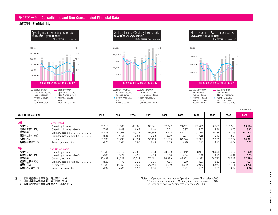## **財務データ Consolidated and Non-Consolidated Financial Data**

# **収益性 Profitability**







| <b>Years ended March 31</b> |                            | 1998    | 1999   | 2000   | 2001   | 2002   | 2003   | 2004    | 2005    | 2006    | 2007    |
|-----------------------------|----------------------------|---------|--------|--------|--------|--------|--------|---------|---------|---------|---------|
| 連結                          | Consolidated               |         |        |        |        |        |        |         |         |         |         |
| 営業利益                        | Operating income           | 106,818 | 69,609 | 85,886 | 85,941 | 72,242 | 89,881 | 102,438 | 120,528 | 120,669 | 96,144  |
| 営業利益率*1<br>(% )             | Operating income ratio (%) | 7.99    | 5.48   | 6.67   | 6.40   | 5.51   | 6.87   | 7.57    | 8.46    | 8.00    | 6.17    |
| 経常利益                        | Ordinary income            | 111,673 | 77,996 | 87,976 | 92,349 | 74,775 | 88,177 | 97,276  | 120,485 | 124,715 | 101,348 |
| 経常利益率*2 (%)                 | Ordinary income ratio (%)  | 8.35    | 6.14   | 6.84   | 6.88   | 5.70   | 6.74   | 7.18    | 8.46    | 8.27    | 6.51    |
| 当期純利益                       |                            | 56,539  | 30,493 | 39,034 | 33,409 | 15,609 | 28,774 | 52,971  | 59,936  | 65,187  | 54,841  |
| 当期純利益率*3 (%)                |                            | 4.23    | 2.40   | 3.03   | 2.49   | 1.19   | 2.20   | 3.91    | 4.21    | 4.32    | 3.52    |
| 単体                          | Non-Consolidated           |         |        |        |        |        |        |         |         |         |         |
| 営業利益                        |                            | 78,930  | 63,619 | 55,323 | 48,023 | 34,800 | 31,442 | 38,984  | 48,596  | 52,227  | 41,059  |
| 営業利益率*1<br>(% )             | Operating income ratio (%) | 6.80    | 5.79   | 4.97   | 4.13   | 3.10   | 2.84   | 3.48    | 4.20    | 4.41    | 3.53    |
| 経常利益                        | Ordinary income            | 95,439  | 84,623 | 80,528 | 70,461 | 53,999 | 45,372 | 48,332  | 59,790  | 66,319  | 57,799  |
| 経常利益率*2(%)                  | Ordinary income ratio (%)  | 8.22    | 7.70   | 7.23   | 6.06   | 4.81   | 4.10   | 4.31    | 5.17    | 5.60    | 4.97    |
| 当期純利益                       |                            | 50,182  | 44,856 | 43,439 | 29,544 | 5,699  | 4,589  | 22,972  | 28,972  | 38,921  | 33,705  |
| 当期純利益率*3 (%)                | Return on sales (%)        | 4.32    | 4.08   | 3.90   | 2.54   | 0.51   | 0.41   | 2.05    | 2.51    | 3.29    | 2.90    |

注) 1 営業利益率=営業利益/売上高×100%

2 経常利益率=経常利益/売上高×100%

3 当期純利益率=当期純利益/売上高×100%

Note:  $*1$  Operating income ratio = Operating income / Net sales  $\times 100\%$ 

\*2 Ordinary income ratio = Ordinary income / Net sales  $\times$  100%

 $*3$  Return on sales = Net income / Net sales  $\times 100\%$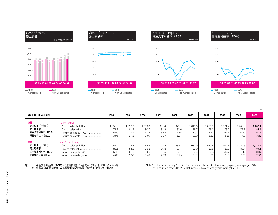

|                                                                 |                                                                                                   |                                 |                                 |                                 |                                 |                                 |                                 |                                 |                                 |                                 | (% )                            |
|-----------------------------------------------------------------|---------------------------------------------------------------------------------------------------|---------------------------------|---------------------------------|---------------------------------|---------------------------------|---------------------------------|---------------------------------|---------------------------------|---------------------------------|---------------------------------|---------------------------------|
| <b>Years ended March 31</b>                                     |                                                                                                   | 1998                            | 1999                            | 2000                            | 2001                            | 2002                            | 2003                            | 2004                            | 2005                            | 2006                            | 2007                            |
| 連結<br>売上原価(十億円)<br>売上原価率<br>株主資本利益率 (ROE) *1<br>総資産利益率 (ROA) *2 | Consolidated<br>Cost of sales (¥ billion)<br>Return on equity (ROE)<br>Return on assets (ROA)     | 1,056.9<br>79.1<br>6.59<br>3.95 | 1,033.9<br>81.4<br>3.42<br>2.11 | 1,039.0<br>80.7<br>4.28<br>2.69 | 1,091.4<br>81.3<br>3.58<br>2.27 | 1,071.1<br>81.6<br>1.65<br>1.07 | 1,043.5<br>79.7<br>3.02<br>2.00 | 1,073.1<br>79.2<br>5.52<br>3.57 | 1,121.4<br>78.7<br>6.03<br>3.85 | 1,202.2<br>79.7<br>6.29<br>4.00 | 1,268.1<br>81.4<br>5.14<br>3.26 |
| 単体<br>売上原価(十億円)<br>売上原価率<br>株主資本利益率 (ROE) *1<br>総資産利益率 (ROA) *2 | Non-Consolidated<br>Cost of sales (¥ billion)<br>Return on equity (ROE)<br>Return on assets (ROA) | 964.7<br>83.1<br>6.45<br>4.05   | 925.6<br>84.3<br>5.45<br>3.58   | 955.3<br>85.8<br>5.06<br>3.48   | 1,008.5<br>86.8<br>3.35<br>2.33 | 980.4<br>87.4<br>0.64<br>0.45   | 962.9<br>87.0<br>0.53<br>0.37   | 969.8<br>86.5<br>2.68<br>1.81   | 994.6<br>86.0<br>3.37<br>2.15   | 1,022.5<br>86.4<br>4.47<br>2.76 | 1,012.4<br>87.1<br>3.86<br>2.36 |

注) 1 株主資本利益率 (ROE)=当期純利益/株主資本 (期首·期末平均)×100% 2 総資産利益率 (ROA)=当期純利益/総資産 (期首·期末平均)×100%

Note:  $*1$  Return on equity (ROE) = Net income / Total stockholders' equity (yearly average)  $\times 100\%$  $*2$  Return on assets (ROA) = Net income / Total assets (yearly average)  $\times 100\%$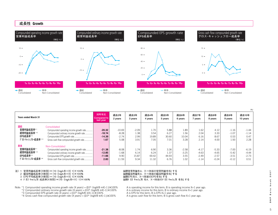

| <b>Years ended March 31</b>                                      |                                                                                                                                                                               | 対昨年比<br>Compared to<br>last year         | 過去2年<br>2 years                        | 過去3年<br>3 years                 | 過去4年<br>4 years                | 過去5年<br>5 years               | 過去6年<br>6 years                    | 過去7年<br>7 years                          | 過去8年<br>8 years                          | 過去9年<br>9 years                          | 過去10年<br>10 years                     |
|------------------------------------------------------------------|-------------------------------------------------------------------------------------------------------------------------------------------------------------------------------|------------------------------------------|----------------------------------------|---------------------------------|--------------------------------|-------------------------------|------------------------------------|------------------------------------------|------------------------------------------|------------------------------------------|---------------------------------------|
| 連結<br>営業利益成長率*1<br>経常利益成長率 *2<br>EPS成長率*3<br>グロス・キャッシュフロー成長率 * 4 | Consolidated<br>Compounded operating income growth rate<br>Compounded ordinary income growth rate<br>Compounded EPS growth rate<br>Gross cash flow compounded growth rate     | $-20.32$<br>$-18.74$<br>$-14.39$<br>1.67 | $-10.69$<br>$-8.28$<br>$-2.74$<br>5.08 | $-2.09$<br>1.38<br>2.99<br>3.91 | 1.70<br>3.54<br>19.89<br>7.05  | 5.88<br>6.27<br>30.60<br>7.01 | 1.89<br>1.56<br>10.04<br>3.28      | 1.62<br>2.04<br>6.16<br>2.14             | 4.12<br>3.33<br>8.67<br>4.00             | $-1.16$<br>$-1.07$<br>0.53<br>1.93       | $-1.44$<br>$-1.14$<br>0.47<br>2.28    |
| 単体<br>営業利益成長率*1<br>経常利益成長率 *2<br>EPS成長率*3<br>グロス・キャッシュフロー成長率 *4  | Non-Consolidated<br>Compounded operating income growth rate<br>Compounded ordinary income growth rate<br>Compounded EPS growth rate<br>Gross cash flow compounded growth rate | $-21.38$<br>$-12.85$<br>$-11.66$<br>2.83 | $-8.08$<br>$-1.68$<br>9.90<br>11.59    | 1.74<br>6.14<br>15.87<br>9.34   | 6.90<br>6.24<br>69.42<br>11.32 | 3.36<br>1.37<br>44.93<br>6.76 | $-2.58$<br>$-3.25$<br>3.55<br>1.02 | $-4.17$<br>$-4.63$<br>$-2.49$<br>$-1.14$ | $-5.33$<br>$-4.65$<br>$-2.57$<br>$-0.24$ | $-7.00$<br>$-5.42$<br>$-3.51$<br>$-0.12$ | $-6.19$<br>$-4.44$<br>$-2.73$<br>0.51 |

- 注) 1 営業利益成長率 (X年間) = {10 (logA/B÷X) 1}×100%
	- 2 経常利益成長率 (X年間) = {10 (logA/B÷X) 1}×100%
	- 3 EPS平均成長率 (X年間) = {10 (logA/B÷X) 1}×100%
	- 4 ク ロス キャッシュ70 成長率(X年間)={10 (logA/B÷X) 1}×100%

Note: \*1 Compounded operating income growth rate (X years) = {10^ (logA/B  $\div$ X)-1 }×100% A is operating income for this term; B is operating income X+1 year ago.<br>A is ordinary income for this term; B is ordinary income X

\*2 Compounded ordinary income growth rate (X years) =  $\{10^\wedge \text{ (log} \angle B \div x\} - 1\} \times 100\%$  A is ordinary income for this term; B is ordinary income for this term; B is ordinary income for this term; B is ordinary income X

\*3 Compounded EPS growth rate (X years) = 10^ (logA/B  $\div$ X)-1 1  $\times$  100% A is EPS for this term; B is EPS X+1 year ago.<br>\*4 Gross cash flow compounded growth rate (X years) = 10^ (logA/B  $\div$ X)-1 1  $\times$  100% A is gross ca \*4 Gross cash flow compounded growth rate (X years) =  $\{10^\circ \text{ (logA/B} \div X)-1\} \times 100\%$ 

当期営業利益をA、X-1年前の営業利益をBとする 当期経常利益をA、X-1年前の経常利益をBとする 当期EPSをA、X-1年前のEPSをBとする 当期ク ロス キャッシュ 7D をA、X-1年前のク ロス キャッシュ 7D をBとする

(**%**)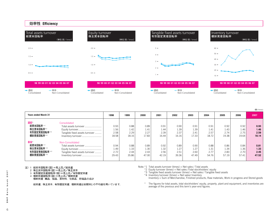

(**回 /** times)

| <b>Years ended March 31</b>                                    |                                                                                                                      | 1998                          | 1999                          | 2000                          | 2001                          | 2002                          | 2003                          | 2004                          | 2005                          | 2006                          | 2007                          |
|----------------------------------------------------------------|----------------------------------------------------------------------------------------------------------------------|-------------------------------|-------------------------------|-------------------------------|-------------------------------|-------------------------------|-------------------------------|-------------------------------|-------------------------------|-------------------------------|-------------------------------|
| 連結*<br>総資本回転率 *1<br>株主資本回転率*2<br>有形固定資産回転率 * 3<br>棚卸資産回転率 * *  | Consolidated<br>Total assets turnover<br>Equity turnover<br>Tangible fixed assets turnover<br>Inventory turnover     | 0.93<br>1.56<br>2.58<br>18.58 | 0.88<br>1.42<br>2.29<br>18.16 | 0.89<br>1.41<br>2.27<br>17.83 | 0.91<br>1.44<br>2.39<br>16.44 | 0.90<br>1.39<br>2.37<br>16.16 | 0.91<br>1.39<br>2.41<br>17.33 | 0.91<br>1.41<br>2.57<br>18.72 | 0.92<br>1.43<br>2.74<br>19.38 | 0.92<br>1.46<br>2.75<br>19.64 | 0.93<br>1.46<br>2.59<br>18.14 |
| 単体*<br>総資本回転率 *1<br>株主資本回転率 *2<br>有形固定資産回転率 * 3<br>棚卸資産回転率 * * | Non-Consolidated<br>Total assets turnover<br>Equity turnover<br>Tangible fixed assets turnover<br>Inventory turnover | 0.94<br>1.49<br>2.72<br>29.43 | 0.88<br>1.33<br>2.44<br>35.86 | 0.89<br>1.30<br>2.43<br>47.00 | 0.92<br>1.32<br>2.56<br>42.19 | 0.89<br>1.27<br>2.51<br>39.36 | 0.90<br>1.27<br>2.60<br>47.49 | 0.88<br>1.31<br>2.77<br>54.76 | 0.86<br>1.34<br>2.83<br>57.19 | 0.84<br>1.36<br>2.70<br>57.41 | 0.81<br>1.33<br>2.45<br>47.52 |

注) 1 総資本回転率(回)=売上高/総資産

- 2 株主資本回転率(回)=売上高/株主資本
- 有形固定資産回転率 (回) =売上高/有形固定資産

4 棚卸資産回転率(回)=売上高/棚卸資産

棚卸資産 商品、製品、原材料、仕掛品、貯蔵品の合計

総資産、株主資本、有形固定資産、棚卸資産は前期末との平均値を用いています。

Note:\*1 Total assets turnover (times) = Net sales / Total assets

 $*2$  Equity turnover (times) = Net sales /Total stockholders' equity

<sup>1</sup> Tangible fixed assets turnover (times) = Net sales / Tangible fixed assets

 $*4$  Inventory turnover (times) = Net sales/ Inventory Inventory = Sum of Merchandise, Finished products, Raw materials, Work in progress and Stored goods

\* The figures for total assets, total stockholders' equity, property, plant and equipment, and inventories are average of the previous and this term's year-end figures.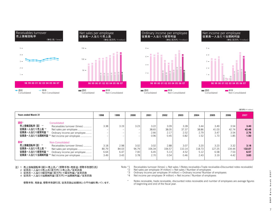

| <b>Years ended March 31</b>                                                                                                                                                                                         | 1998                          | 1999                          | 2000                          | 2001                           | 2002                           | 2003                           | 2004                           | 2005                           | 2006                           | 2007                           |
|---------------------------------------------------------------------------------------------------------------------------------------------------------------------------------------------------------------------|-------------------------------|-------------------------------|-------------------------------|--------------------------------|--------------------------------|--------------------------------|--------------------------------|--------------------------------|--------------------------------|--------------------------------|
| 連結*<br>Consolidated<br>売上債権回転率 (回) *1<br>Receivables turnover (times)<br>従業員一人当たり売上高 *2<br>Net sales per employee<br>従業員一人当たり経常利益 *3<br>Ordinary income per employee<br>従業員一人当たり当期純利益 *4 Net income per employee    | 3.38                          | 3.19                          | 3.23                          | 3.22<br>38.65<br>2.66<br>0.96  | 3.09<br>38.05<br>2.17<br>0.45  | 3.28<br>37.37<br>2.52<br>0.82  | 3.44<br>38.86<br>2.79<br>1.52  | 3.49<br>41.03<br>3.47<br>1.73  | 3.54<br>42.74<br>3.54<br>1.85  | 3.40<br>42.48<br>2.76<br>1.50  |
| 単体*<br>Non-Consolidated<br>売上倩権回転率(回) *1<br>Receivables turnover (times)<br>従業員一人当たり売上高 *2<br>Net sales per employee<br>従業員一人当たり経常利益 *3<br>Ordinary income per employee<br>従業員一人当たり当期純利益 *4 Net income per employee | 3.18<br>80.79<br>6.64<br>3.49 | 2.98<br>84.03<br>6.47<br>3.43 | 3.02<br>96.79<br>7.00<br>3.78 | 3.02<br>106.34<br>6.45<br>2.70 | 2.88<br>106.57<br>5.13<br>0.54 | 3.07<br>110.14<br>4.52<br>0.46 | 3.20<br>118.73<br>5.12<br>2.43 | 3.23<br>127.25<br>6.58<br>3.19 | 3.32<br>134.44<br>7.53<br>4.42 | 3.18<br>132.07<br>6.57<br>3.83 |

# 注)1 売上債権回転率(回)=売上高/(受取手形∸売掛金∸受取手形割引高)<br>2 従業員一人当たり売上高(百万円)=売上高/従業員数

3 従業員一人当たり経常利益(百万円)=経常利益/従業員数

4 従業員一人当たり当期純利益(百万円)=当期純利益/従業員数

受取手形、売掛金、受取手形割引高、従業員数は前期末との平均値を用いています。

Note: \*1 Receivables turnover (times) = Net sales / (Notes receivable+Trade receivable+Discounted notes receivable)<br>\*2 Net sales per employee (¥ million) = Net sales / Number of employees \*2 Net sales per employee ( $\frac{4}{5}$  million) = Net sales / Number of employees \*3 Ordinary income per employee ( $\frac{4}{5}$  million) = Ordinary income / Number

\*3 Ordinary income per employee (¥ million) = Ordinary income/ Number of employees<br>\*4 Net income per employee (¥ million) = Net income / Number of employees

\* Notes receivable, trade receivable, discounted notes receivable and number of employees are average figures of beginning and end of the fiscal year.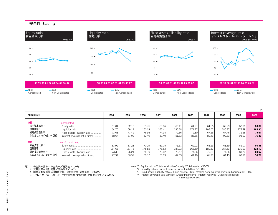

|                                                                    |                                                                                       |                                   |                                   |                                   |                                   |                                   |                                   |                                   |                                   |                                   | (9/6)                             |
|--------------------------------------------------------------------|---------------------------------------------------------------------------------------|-----------------------------------|-----------------------------------|-----------------------------------|-----------------------------------|-----------------------------------|-----------------------------------|-----------------------------------|-----------------------------------|-----------------------------------|-----------------------------------|
| At March 31                                                        |                                                                                       | 1998                              | 1999                              | 2000                              | 2001                              | 2002                              | 2003                              | 2004                              | 2005                              | 2006                              | 2007                              |
| 連結<br>株主資本比率 *1<br>流動比率*2<br>固定長期適合率 *3<br>インタレスト・カバレッジ・レシオ *4 (倍) | Consolidated<br>Fixed assets / liability ratio<br>Interest coverage ratio (times)     | 61.04<br>164.70<br>73.63<br>58.67 | 62.18<br>159.14<br>77.49<br>37.02 | 63.76<br>160.38<br>76.95<br>52.49 | 63.06<br>165.41<br>74.94<br>59.40 | 66.11<br>180.78<br>72.36<br>51.33 | 64.97<br>171.27<br>72.80<br>86.86 | 64.66<br>197.07<br>67.56<br>89.43 | 62.99<br>185.97<br>67.76<br>99.83 | 63.96<br>177.78<br>72.55<br>93.27 | 63.04<br>165.90<br>75.61<br>76.46 |
| 単体<br>株主資本比率 *1<br>流動比率*2<br>固定長期適合率 *3<br>インタレスト・カバレッジ・レシオ *4 (倍) | Non-Consolidated<br>Fixed assets / liability ratio<br>Interest coverage ratio (times) | 63.99<br>164.68<br>73.30<br>72.34 | 67.23<br>167.76<br>76.24<br>56.57 | 70.29<br>175.82<br>75.10<br>50.12 | 69.05<br>176.53<br>73.62<br>53.03 | 71.51<br>187.93<br>72.57<br>47.63 | 69.02<br>166.50<br>74.26<br>61.10 | 66.13<br>180.52<br>70.31<br>61.91 | 61.69<br>154.53<br>74.65<br>64.13 | 62.07<br>139.20<br>81.70<br>69.78 | 60.38<br>122.10<br>88.67<br>56.71 |

注) 1 株主資本比率=株主資本/総資産×100%

2 流動比率=流動資産/流動負債×100%

- 『加盟元』<br>3 固定長期適合率=(固定資産/(株主資本+固定負債)}×100%<br>4 インタレスト カハ レッシ レシカ(倍)=(営業利益+受取利息+受取配当金) /支払利息

Note:  $*1$  Equity ratio = Total stockholders' equity / Total assets  $\times$ 100%

\*2 Liquidity ratio = Current assets / Current liabilities  $\times$ 100%

\*3 Fixed assets / liability ratio = {Fixed assets / (Total stockholders' equity+Long-term liabilities)} ×100%<br>\*4 Interest coverage ratio (times)= (Operating income+Interest received+Dividends received)  $\frac{1}{4}$  Interest expenses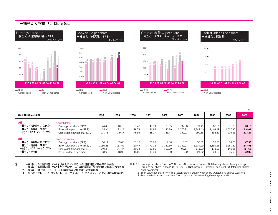

(**円 /** ¥)

| <b>Years ended March 31</b>                                                       |                                                                                                                                     | 1998                                 | 1999                                 | 2000                                 | 2001                                 | 2002                                | 2003                               | 2004                                 | 2005                                 | 2006                                 | 2007                                 |
|-----------------------------------------------------------------------------------|-------------------------------------------------------------------------------------------------------------------------------------|--------------------------------------|--------------------------------------|--------------------------------------|--------------------------------------|-------------------------------------|------------------------------------|--------------------------------------|--------------------------------------|--------------------------------------|--------------------------------------|
| 連結<br>一株当たり当期純利益 (EPS)*1<br>一株当たり純資産 (BPS)*2<br>一株当たりグロス・キャッシュフロー * 3             | Consolidated<br>Earnings per share (EPS)<br>Book value per share (BPS)<br>Gross cash flow per share                                 | 74.49<br>1,165.94<br>171.76          | 40.15<br>1,183.24<br>149.17          | 51.40<br>1,218.79<br>175.94          | 43.99<br>1,236.96<br>168.17          | 20.55<br>L.246.99<br>145.47         | 37.80<br>1.270.81<br>159.23        | 71.49<br>1,348.40<br>190.38          | 82.56<br>1.409.18<br>196.31          | 91.23<br>1,507.90<br>216.25          | 78.10<br>1,544.02<br>223.27          |
| 単体<br>一株当たり当期純利益 (EPS)*1<br>一株当たり純資産 (BPS)*2<br>一株当たりグロス・キャッシュフロー * 3<br>一株当たり配当額 | Non-Consolidated<br>Earnings per share (EPS)<br>Book value per share (BPS)<br>Gross cash flow per share<br>Cash dividends per share | 66.11<br>1,056.26<br>140.24<br>18.00 | 59.06<br>1,111.52<br>141.47<br>18.00 | 57.19<br>1.150.47<br>150.34<br>18.00 | 38.90<br>1.171.12<br>130.56<br>18.00 | 7.50<br>1,162.30<br>100.09<br>18.00 | 5.82<br>1.149.27<br>92.51<br>19.00 | 30.82<br>l.184.99<br>111.00<br>21.00 | 39.70<br>1.199.56<br>118.26<br>24.00 | 54.28<br>l.251.59<br>145.25<br>26.00 | 47.95<br>1.243.53<br>151.67<br>32.00 |

注) 1 一株当たり当期純利益(2002年以前及び2007年) =当期純利益/期中平均株式数

- 一株当たり当期純利益(2003年から2006年) =(当期純利益一役員賞与)/期中平均株式数
- 2 一株当たり純資産 (BPS, 円)=期末純資産/期末発行済株式総数
- 3 一株当たりグロス・キャッシュフロー(円)=グロス・キャッシュフロー/期末発行済株式総数
- Note:\*2 Book value per share (¥) = Total stockholders' equity (year-end) / Outstanding shares (year-end)  $\overline{X}$  Gross cash flow per share  $(\overline{Y})$  = Gross cash flow / Outstanding shares (year-end)
	-

Note:\*1 Earnings per share (prior to 2003 and 2007) = Net income / Outstanding shares (yearly average) Earnings per share (since 2003 to 2006) = (Net income – Directors' bonuses) / Outstanding shares (yearly average)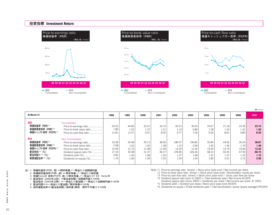## **投資指標 Investment Return**



(**倍 /** times)

| At March 31                                                                                                     |                                                                                                                                                              | 1998                                            | 1999                                            | 2000                                            | 2001                                            | 2002                                              | 2003                                              | 2004                                            | 2005                                            | 2006                                             | 2007                                            |
|-----------------------------------------------------------------------------------------------------------------|--------------------------------------------------------------------------------------------------------------------------------------------------------------|-------------------------------------------------|-------------------------------------------------|-------------------------------------------------|-------------------------------------------------|---------------------------------------------------|---------------------------------------------------|-------------------------------------------------|-------------------------------------------------|--------------------------------------------------|-------------------------------------------------|
| 連結<br>株価収益率 (PER)*1<br>株価純資産倍率 (PBR)*2<br>株価キャッシュフロー倍率 (PCFR)*3                                                 | Consolidated<br>Price-to-earnings ratio<br>Price-to-book value ratio<br>Price-to-cash flow ratio                                                             | 29.53<br>1.89<br>12.81                          | 44.83<br>1.52<br>12.07                          | 32.41<br>1.37<br>9.47                           | 34.10<br>1.21<br>8.92                           | 69.15<br>1.14<br>9.77                             | 30.00<br>0.89<br>7.26                             | 24.07<br>1.28<br>9.04                           | 21.18<br>1.24<br>8.91                           | 23.35<br>1.41<br>9.85                            | 23.74<br>1.20<br>8.30                           |
| 単体<br>株価収益率 (PER)*1<br>株価純資産倍率 (PBR)*2<br>株価キャッシュフロー倍率 (PCFR)*3<br>配当性向 *4 (%)<br>配当利回り *5 (%)<br>純資産配当率 *6 (%) | Non-Consolidated<br>Price-to-earnings ratio<br>Price-to-book value ratio<br>Price-to-cash flow ratio<br>Dividend payout ratio (%)<br>Dividends-on-equity (%) | 33.28<br>2.08<br>15.69<br>27.24<br>0.82<br>1.76 | 30.48<br>1.62<br>12.72<br>30.48<br>1.00<br>1.66 | 29.13<br>1.45<br>11.08<br>31.47<br>1.08<br>1.59 | 38.56<br>1.28<br>11.49<br>46.27<br>1.20<br>1.55 | 189.47<br>1.22<br>14.20<br>239.85<br>1.27<br>1.54 | 194.85<br>0.99<br>12.26<br>326.46<br>1.68<br>1.64 | 55.84<br>1.45<br>15.50<br>68.14<br>1.22<br>1.80 | 44.06<br>1.46<br>14.79<br>60.45<br>1.37<br>2.01 | 39.24<br>1.70 <br>14.66<br>47.90<br>1.22<br>2.12 | 38.67<br>1.49<br>12.22<br>66.74<br>1.73<br>2.56 |

注) 1 株価収益率(PER,倍) =期末株価/一株当たり当期純利益

- 2 株価純資産倍率(PBR, 倍) = 期末株価 /一株当たり純資産
- 3 株価キャッシュフロ 倍率(PCFR,倍) =期末株価 /一株当たりクロス・キャッシュフロ
- 4 配当性向 (2002年以前) =配当金総額/当期純利益×100%
- |配当性向(2003年以降)=―株当たり配当額/一株当たり当期純利益×100%|
- 5 配当利回り=一株当たり配当額/期末株価×100%
- 6 純資産配当率={配当金総額/純資産(期首·期末平均値)}×100%

- Note:\*1 Price-to-earnings ratio (times) = Stock price (year-end) / Net income per share Note:\*2 Price-to-book value ratio (times) = Stock price (year-end) / Stockholders' equity per share
- \*3 Price-to-cash flow ratio (times) = Stock price (year-end) / Gross cash flow per share<br>\*4 Dividend payout ratio (prior to 2003) = Total dividends paid / Net income×100%
	-
	- Dividend payout ratio (since 2003) = Dividends per share / Net income per share  $\times$  100% \*5 Dividend yield = Dividend per share / Stock price (year-end) ×100%
	- \*6 Dividends-on-equity = {Total dividends paid / Total stockholders' equity (yearly average) }  $\times$ 100%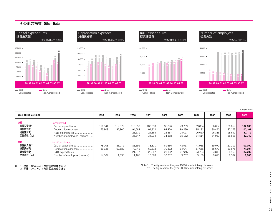

| <b>Years ended March 31</b>                |                                                                                                                        | 1998                       | 1999                                                   | 2000                                  | 2001                                  | 2002                                 | 2003                                 | 2004                                 | 2005                                 | 2006                                  | 2007                                   |
|--------------------------------------------|------------------------------------------------------------------------------------------------------------------------|----------------------------|--------------------------------------------------------|---------------------------------------|---------------------------------------|--------------------------------------|--------------------------------------|--------------------------------------|--------------------------------------|---------------------------------------|----------------------------------------|
| 連結<br>設備投資額*1<br>減価償却費<br>研究開発費<br>従業員数(人) | Consolidated<br>Capital expenditures<br>Depreciation expenses<br>R&D expenditures<br>Number of employees (persons)     | 111,341<br>73,908<br>-     | 119,372<br>82,800                                      | 113,858<br>94,588<br>23,571<br>35,347 | 103,050<br>94,312<br>24,664<br>34,094 | 85,096<br>94.870<br>23,367<br>34.868 | 73,789<br>89,239<br>24,097<br>35,182 | 69,834<br>85,182<br>26,050<br>34,514 | 86,057<br>80.440<br>26,386<br>34,939 | 136,059<br>87,263<br>28,692<br>35,596 | 162,885<br>100,161<br>30,112<br>37.740 |
| 単体<br>設備投資額*2<br>減価償却費<br>研究開発費<br>従業員数(人) | Non-Consolidated<br>Capital expenditures<br>Depreciation expenses<br>R&D expenditures<br>Number of employees (persons) | 78,108<br>56,325<br>14,309 | 86.079<br>62,582<br>$\overline{\phantom{a}}$<br>11,836 | 88.392<br>70,742<br>21,017<br>11,165  | 78.871<br>69,612<br>22,257<br>10,698  | 61.666<br>70,312<br>21,162<br>10,352 | 48.917<br>64,041<br>21,946<br>9,737  | 41,968<br>57,656<br>23,733<br>9,159  | 69.072<br>55,677<br>23,849<br>9,013  | 111.219<br>63,575<br>25,962<br>8,597  | 103,000<br>71,694<br>27.292<br>9,003   |

注)1 連結 1996年より無形固定資産を含む<br>2 単体 2000年より無形固定資産を含む

Note:\*1 The figures from the year 1996 include intangible assets. \*2 The figures from the year 2000 include intangible assets.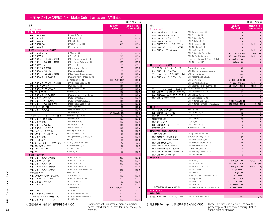# **主要子会社及び関連会社 Major Subsidiaries and Affiliates**

|                                      |                                             |                   | (百万円 / ¥ million) |
|--------------------------------------|---------------------------------------------|-------------------|-------------------|
| 社名                                   |                                             | 資本金               | 出資比率(%)           |
| Company name                         |                                             | Capital           | Ownership ratio   |
| Printing                             |                                             |                   |                   |
| (株) DNP北海道                           | DNP Hokkaido Co., Ltd.                      | 350               | 100.0             |
| (株) DNP東北                            | DNP Tohoku Co., Ltd.                        | 350               | 100.0             |
| (株) DNP東海                            | DNP Tokai Co., Ltd.                         | 120               | 100.0             |
| (株)DNP西日本                            | DNP Nishi Nippon Co., Ltd.                  | 400               | 100.0             |
| (株) DNP四国                            | DNP Shikoku Co., Ltd.                       |                   |                   |
| ■情報コミュニケーション部門                       |                                             | 50                | 97.0              |
|                                      | DNP Offset Co., Ltd.                        |                   |                   |
| (株) DNPオフセット<br>(株) DNP製本            |                                             | 200<br>200        | 100.0             |
|                                      | DNP Seihon Co., Ltd.                        |                   | 100.0             |
| (株) DNPトータルブロセス市谷                    | DNP Total Process Ichigaya Co., Ltd.        | 100               | 100.0             |
| (株) DNPトータルブロセス前橋                    | DNP Total Process Maebashi Co., Ltd.        | 100               | 100.0             |
| (株) DNPアート                           | DNP Art Co., Ltd.                           | 80                | 100.0             |
| (株)DNPテクタス市谷                         | DNP Techtas Ichigaya Co., Ltd.              | 80                | 100.0             |
| (株) DNPユニブロセス                        | DNP Uniprocess Co., Ltd.                    | 80                | 100.0             |
| (株) DNPトータルブロセス長岡                    | DNP Total Process Nagaoka Co., Ltd.         | 50                | 100.0             |
| (株) DNP物流システム市谷                      | DNP Butsuryu Systems Ichigaya Co., Ltd.     | 40                | 100.0             |
|                                      | Tien Wah Press (Pte.) Ltd.                  | 4,600 (S\$ 1,000) | 100.0             |
| (株) DNPメディアクリエイト関西                   | DNP Media Create Kansai Co., Ltd.           | 200               | 100.0             |
| (株) DNPグラフィカ                         | DNP Graphica Co., Ltd.                      | 100               | 100.0             |
| (株) DNPメディアクリエイト                     | DNP Media Create Co., Ltd.                  | 100               | 100.0             |
| (株) マルチブリント                          | Multi Print Co., Ltd.                       | 100               | 100.0             |
| (株) DNP物流システム商印                      | DNP Butsuryu Systems Shouin Co., Ltd.       | 50                | 100.0             |
| (株) DNPデータテクノ                        | DNP Data Techno Co., Ltd.                   | 100               | 100.0             |
| (株) DNPデータテクノ関西                      | DNP Data Techno Kansai Co., Ltd.            | 100               | 100.0             |
| (株) DNPトータルブロセス蕨                     | DNP Total Process Warabi Co., Ltd.          | 80                | 100.0             |
| ネクサンティス(株)                           | NexantiS Corporation*                       | 25                | 100.0             |
| (株) DNPテクタス蕨                         | DNP Techtas Warabi Co., Ltd.                | 20                | 100.0             |
|                                      | DNP France SAS*                             | 37 (Euro1,000)    | 100.0             |
| マイポイント・ドット・コム(株)                     | MyPoint.com Japan Co., Ltd.                 | 10                | 83.0              |
| (株) DNPアーカイブコム                       | DNP Archives.com Co., Ltd.                  | 100               | 100.0             |
| (株) DNP映像センター                        | DNP AV Center Co., Ltd.                     | 100               | 100.0             |
| (株) DNPデジタルコム                        | DNP Digitalcom Co., Ltd.                    | 100               | 100.0             |
| (株) DNPスペースデザイン                      | DNP Space Design Co., Ltd.                  |                   |                   |
| (株) モバイルインパルス                        | Mobile Impulse Co., Ltd.*                   | 100<br>90         | 100.0<br>100.0    |
|                                      | Maison de DNP Ginza Co., Ltd.*              |                   |                   |
| (株) メゾン·ド·DNPギンザ                     | DNP Corporate History Center Co., Ltd.      | 60                | 100.0             |
| (株) DNP年史センター                        |                                             | 50                | 100.0             |
| (株)トランスアート                           | Trans Art Inc.*                             | 50                | 100.0             |
| (株) シービーデザインコンサルティング                 | CP Design Consulting Co., Ltd.*             | 40                | 92.5              |
| (株) エムズコミュニケイト                       | M's Communicate Co., Ltd.*                  | 30                | 95.0              |
| (株)アットテーブル                           | At Table Co., Ltd.*                         | 30                | 95.0              |
| (株)ユートゥ                              | YouToo Co., Ltd.'                           | 50                | 100.0             |
| ■生活・産業部門                             |                                             |                   |                   |
| (株)DNPテクノパック東海                       | DNP Technopack Tokai Co., Ltd.              | 430               | 100.0             |
| (株) DNPテクノフィルム                       | DNP Techno Film Co., Ltd.                   | 380               | 100.0             |
| (株) DNPテクノパック                        | DNP Technopack Co., Ltd.                    | 300               | 100.0             |
| (株) DNPテクノパック関西                      | DNP Technopack Kansai Co., Ltd.             | 200               | 100.0             |
| (株)DNPテクノパック横浜                       | DNP Technopack Yokohama Co., Ltd.           | 200               | 100.0             |
| 相模容器(株)                              | Sagami Yoki Co., Ltd.                       | 200               | 90.0              |
| (株) アセブティック・システム                     | Aseptic Systems Co., Ltd.                   | 100               | 100.0             |
| (株) DNPテクノボリマー                       | DNP Techno Polymer Co., Ltd.                | 100               | 100.0             |
| (株) DNPカップテクノ                        | DNP Cup Techno Co., Ltd.                    | 80                | 100.0             |
| (株) DNP包装                            | DNP Hoso Co., Ltd.                          | 80                | 100.0             |
|                                      | PT DNP Indonesia                            | 26,000 (\$1,000)  | 51.0              |
| (株) DNPエリオ                           | DNP Ellio Co., Ltd.                         | 300               | 50.0              |
|                                      | DNP Lifestyle Materials Co., Ltd.           | 200               |                   |
| (株) DNP住空間マテリアル<br>DNP住空間マテリアル販売 (株) | DNP Lifestyle Materials Marketing Co., Ltd. | 300               | 100.0<br>100.0    |
|                                      |                                             |                   |                   |
| (株) DNPアイ・エム・エス                      | DNP IMS Co., Ltd.                           | 100               | 100.0             |

|                         |                                                 |                                        | (百万円 / ¥ million)           |
|-------------------------|-------------------------------------------------|----------------------------------------|-----------------------------|
| 社名                      |                                                 | 資本金                                    | 出資比率(%)                     |
| Company name            |                                                 | Capital                                | Ownership ratio             |
| (株) DNPオブトマテリアル         | DNP OptoMaterials Co., Ltd.                     | 100                                    | 100.0                       |
| (株) DNPブリントラッシュ         | DNP Printrush Co., Ltd.                         | 300                                    | 100.0                       |
| (株) DNPフォトイメージング        | DNP Photo Imaging Co., Ltd.                     | 5,100                                  | 100.0                       |
| (株) DNPフォトマーケティング       | DNP Photo Marketing Co., Ltd.                   | 100                                    | 100.0 (100.0)               |
| (株) DNPアイディーイメージング      | DNP ID Imaging Co., Ltd.                        | 50                                     | 100.0 (100.0)               |
| (株) DNPアイ・エム・エス小田原      | DNP IMS Odawara Co., Ltd.                       | 300                                    | 100.0                       |
| (株)DNPファインケミカル          | DNP Fine Chemical Co., Ltd.                     | 100                                    | 100.0 (100.0)               |
|                         | DNP Photo Imaging America, Inc.                 | 45,712 (US\$1,000)                     | 84.0 (84.0)                 |
|                         | DNP IMS America Corporation                     | 47,920 (US\$1,000)                     | 100.0 (100.0)               |
|                         | Compagnie de Découpe de l'Ouest - CDO SAS       | 3,040 (Euro 1,000)                     | 23.4                        |
|                         | DNP IMS France SAS *                            | 300 (Euro 1,000)                       | 100.0                       |
| ■エレクトロニクス部門             |                                                 |                                        |                             |
| アドバンスト カラーテック(株)        | Advanced Colortech, Inc.                        | 350                                    | 100.0                       |
| (株)DNPカラーテクノ亀山          | DNP Color Techno Kameyama Co., Ltd.             | 2,500                                  | 100.0                       |
| ディー・エー・ピー・テクノロジー (株)    | DAP Technolgy Co., Ltd.                         | 9,000                                  | 65.0                        |
| (株) DNPブレシジョンデバイス       | DNP Precision Devices Co., Ltd.                 | 450                                    | 100.0                       |
|                         | DNP Denmark A/S                                 | 135,000 (Dkr1,000)                     | 100.0                       |
|                         | DNP Electronics America, LLC                    | 15,045 (US\$1,000)                     | 100.0 (100.0)               |
|                         | DNP Display Technology Taiwan Co., Ltd.         | 30,000 (NT\$ 1,000)                    | 100.0 (99.0)                |
| ディー ティー ファインエレクトロニクス(株) | DT Fine Electronics Co., Ltd.                   | 490                                    | 65.0                        |
| (株) DNPファインエレクトロニクス     | DNP Fine Electronics Co., Ltd.                  | 300                                    | 100.0                       |
| (株) DNPエル・エス・アイ・デザイン    | DNP LSI Design Co., Ltd.                        | 100                                    | 100.0                       |
| (株) DNPミクロテクニカ          | DNP Micro Technica Co., Ltd.                    | 40                                     | 100.0                       |
|                         | DNP Photomask Europe S.p.A.                     | 47,200 (Euro1,000)                     | 80.6                        |
|                         | DNP Photomask Technology Taiwan Co., Ltd.       | 448,000 (NT1,000)                      | 100.0(3.3)                  |
| ■その他                    |                                                 |                                        |                             |
| ザ・インクテック (株)            | The Inctec Inc.                                 | 2,000                                  | 83.4                        |
| (株) DNPロジスティクス          | DNP Logistics Co., Ltd.                         | 626                                    | 100.0                       |
| (株) ディー・エヌ・ケー           | D.N.K Co., Ltd.                                 | 100                                    | 100.0                       |
| 大日本商事 (株)               | DNP Trading Co., Ltd.                           | 100                                    | 94.3                        |
| (株) ダイレック               | Direc Co., Ltd.                                 | 96                                     | 55.0                        |
| (株)DNPエス・ビー・テック         | DNP SP Tech Co., Ltd.                           | 80                                     | 100.0                       |
| 教育出版 (株)                | Kyoiku Shuppan Co., Ltd.                        | 60                                     | 48.3                        |
| ■福利厚生·施設管理会社など          |                                                 |                                        |                             |
| 大日本開発 (株)               | Dai Nippon Kaihatsu Co., Ltd.                   | 250                                    | 100.0                       |
| (株) 塩原グリーンビレッジ          | Shiobara Green Village Co., Ltd.*               | 200                                    | 99.6                        |
| (株) DNPファシリティサービス       | DNP Facility Service Co., Ltd.                  | 100                                    | 100.0                       |
| (株) DNP情報システム           | DNP Information Systems Co., Ltd.               | 100                                    | 100.0                       |
| (株) DNPヒューマンサービス        | DNP Human Services Co., Ltd.                    | 90                                     | 100.0                       |
| (株) 宇津峰カントリー倶楽部         | Uzumine Country Club Co., Ltd.*                 | 33<br>30                               | 88.8                        |
| (株) DNPアカウンティングサービス     | DNP Accounting Services Co., Ltd.               |                                        | 100.0                       |
| (株) DNPテクノリサーチ<br>■海外販社 | DNP Techno Research Co., Ltd.*                  | 20                                     | 100.0                       |
|                         | DNP America, LLC                                |                                        |                             |
|                         | DNP Corporation USA                             | 100 (US\$1,000)<br>52, 212 (US\$1,000) | 100.0 (100.0)<br>100.0(8.5) |
|                         | DNP Holding USA Corporation                     | 100 (US\$1,000)                        | 100.0 (100.0)               |
|                         | DNP Europa GmbH*                                | 92 (Euro1,000)                         | 100.0                       |
|                         | DNP UK Co., Ltd.*                               | 120 (£1,000)                           | 100.0                       |
|                         | Dai Nippon Printing Co. (Australia) Pty. Ltd.*  | 70 (A\$1,000)                          | 100.0                       |
|                         | DNP Singapore Pte. Ltd.*                        | 350 (S\$1,000)                         | 100.0                       |
|                         | DNP Korea Co., Ltd.                             | 500,000 (Krw1,000)                     | 100.0                       |
|                         | DNP Taiwan Co., Ltd.                            | 10,000 (NT1,000)                       | 100.0                       |
| 迪文普国際貿易(上海)有限公司         | DNP International Trading (Shanghai) Co., Ltd.* | 2,000 (US\$1,000)                      | 100.0                       |
| <b>Beverages</b>        |                                                 |                                        |                             |
| ■清涼飲料                   |                                                 |                                        |                             |
| 北海道コカ・コーラボトリング(株)       | Hokkaido Coca-Cola Bottling Co., Ltd.           | 2,935                                  | 57.0(3.8)                   |
|                         |                                                 |                                        |                             |

は連結対象外、持分法非適用関連会社である。

\*Companies with an asterisk mark are neither consolidated nor accounted for under the equity method.

Ownership ratios (in brackets) indicate the percentage of shares owned through DNP's subsidiaries or affiliates.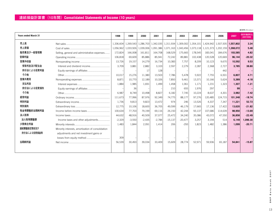| <b>Years ended March 31</b> |                                                   | 1998      | 1999      | 2000      | 2001      | 2002      | 2003                | 2004    | 2005                | 2006                          | 2007      | 対前年増減率(%)<br>(2007/2006) |
|-----------------------------|---------------------------------------------------|-----------|-----------|-----------|-----------|-----------|---------------------|---------|---------------------|-------------------------------|-----------|--------------------------|
| 売上高                         |                                                   | 1,336,604 | 1,269,543 | 1,286,703 | 1,342,035 |           | 1,311,934 1,309,002 |         | 1,354,101 1,424,942 | 1.507.505                     | 1.557.802 | 3.34                     |
| 売上原価                        |                                                   | 1,056,962 | 1,033,926 | 1,039,006 | 1,091,386 |           | 1,071,163 1,043,456 |         |                     | 1,073,118 1,121,373 1,202,159 | 1,268,072 | 5.48                     |
| 販売費及び一般管理費                  | Selling, general and administrative expenses      | 172,824   | 166,008   | 161,811   | 164,708   | 168,529   | 175,665             | 178,545 | 183,041             | 184,676                       | 193,585   | 4.82                     |
| 営業利益                        |                                                   | 106.818   | 69.609    | 85.886    | 85.941    | 72.242    | 89.881              | 102.438 | 120.528             | 120.669                       | 96.144    | $-20.32$                 |
| 営業外収益                       |                                                   | 13.726    | 19,157    | 14.279    | 16.734    | 10,383    | 7.757               | 8,209   | 10,123              | 9.670                         | 10.592    | 9.53                     |
| 受取利息及び配当金                   |                                                   | 3.709     | 3,881     | 2,882     | 3.103     | 2,597     | 2,279               | 2,287   | 2.368               | 2.727                         | 3.785     | 38.80                    |
| 持分法による投資利益                  |                                                   |           |           | 17        | 128       |           |                     |         |                     | 442                           |           |                          |
| その他                         |                                                   | 10,017    | 15,276    | 11.380    | 13.503    | 7.786     | 5.478               | 5,922   | 7.755               | 6,501                         | 6.807     | 4.71                     |
| 営業外費用                       |                                                   | 8.871     | 10.770    | 12,189    | 10,326    | 7.850     | 9.461               | 13.371  | 10,166              | 5.624                         | 5.389     | $-4.18$                  |
| 支払利息                        |                                                   | 1.884     | 1,985     | 1.691     | 1.499     | 1,458     | 1.061               | 1.171   | 1,231               | 1,323                         | 1.307     | $-1.21$                  |
| 持分法による投資損失                  | Equity earnings of affiliates                     |           | 36        |           |           | 210       | 655                 | 1.976   | 297                 |                               | 99        |                          |
| その他                         |                                                   | 6.987     | 8.749     | 10.498    | 8.827     | 6.182     | 7.745               | 10.224  | 8.637               | 4.301                         | 3.982     | $-7.42$                  |
| 経常利益                        |                                                   | 111,673   | 77,996    | 87,976    | 92,349    | 74,775    | 88,177              | 97,276  | 120,485             | 124,715                       | 101,348   | $-18.74$                 |
| 特別利益                        |                                                   | 1,736     | 9,813     | 9,823     | 13.472    | 974       | 246                 | 13,526  | 4,337               | 7.347                         | 11,221    | 52.73                    |
| 特別損失                        |                                                   | 12,775    | 10,106    | 18,600    | 36,705    | 49,599    | 46,179              | 17,665  | 17,136              | 17,422                        | 13,620    | $-21.82$                 |
| 税金等調整前当期純利益                 |                                                   | 100,634   | 77,703    | 79,199    | 69,116    | 26,150    | 42,244              | 93,137  | 107,686             | 114,639                       | 98,950    | $-13.69$                 |
| 法人税等                        |                                                   | 44,632    | 48,916    | 40,509    | 37,077    | 25,472    | 34,240              | 35,086  | 43,072              | 47,550                        | 36,858    | $-22.49$                 |
| 法人税等調整額                     | Income taxes and other adjustments                | $-2,329$  | $-3,550$  | $-2,435$  | $-2,784$  | $-15,137$ | $-20,477$           | 3,257   | 3,194               | 514                           | 6,149     | 1,096.30                 |
| 少数株主利益                      |                                                   | 1,483     | 1,844     | 2,091     | 1.414     | 206       | $-293$              | 1,823   | 1,482               | 1,386                         | 1.099     | $-20.71$                 |
| 連結調整勘定償却及び                  | Minority interests, amortization of consolidation |           |           |           |           |           |                     |         |                     |                               |           |                          |
| 持分法による投資損益等                 | adjustments and net investment gains or           |           |           |           |           |           |                     |         |                     |                               |           |                          |
|                             |                                                   | 309       |           |           |           |           |                     |         |                     |                               |           |                          |
| 当期純利益                       |                                                   | 56,539    | 30.493    | 39.034    | 33.409    | 15,609    | 28.774              | 52,971  | 59.936              | 65,187                        | 54.841    | $-15.87$                 |
|                             |                                                   |           |           |           |           |           |                     |         |                     |                               |           |                          |
|                             |                                                   |           |           |           |           |           |                     |         |                     |                               |           |                          |

Data book 2007 **N P D a t a b o o k 2 0 0 7 D**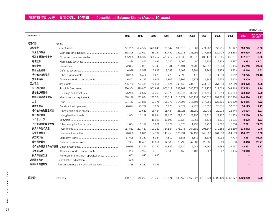|             |                                           |          |          |                                                                                           |          |          |          |           |           |           |           | (百万円 / ¥ million)        |
|-------------|-------------------------------------------|----------|----------|-------------------------------------------------------------------------------------------|----------|----------|----------|-----------|-----------|-----------|-----------|--------------------------|
| At March 31 |                                           | 1998     | 1999     | 2000                                                                                      | 2001     | 2002     | 2003     | 2004      | 2005      | 2006      | 2007      | 対前年増減率(%)<br>(2007/2006) |
| 資産の部        | Assets                                    |          |          |                                                                                           |          |          |          |           |           |           |           |                          |
| 流動資産        |                                           | 721,205  | 664,597  | 670,246                                                                                   | 721,347  | 690,010  | 715,509  | 771,902   | 838,735   | 805,127   | 800,273   | $-0.60$                  |
| 現金及び預金      |                                           | 238,305  | 193,697  | 186,747                                                                                   | 187,459  | 189,913  | 238,991  | 277,398   | 320,479   | 268,334   | 195,595   | $-27.11$                 |
| 受取手形及び売掛金   |                                           | 395,986  | 396,312  | 396,467                                                                                   | 433,417  | 411,336  | 383,576  | 400,112   | 413,565   | 436,331   | 477,157   | 9.36                     |
| 有価証券        |                                           | 3.234    | 1.851    | 2.496                                                                                     | 2,020    | 3.165    | 50       | 6,706     | 6.803     | 6,797     | 9,992     | 47.01                    |
| 棚卸資産        |                                           | 72,827   | 67,028   | 77,340                                                                                    | 85,931   | 76,401   | 74,702   | 69,992    | 77,043    | 76,485    | 95,246    | 24.53                    |
| 繰延税金資産      |                                           | 6.999    | 5,548    | 5,822                                                                                     | 9.048    | 7,603    | 9,891    | 12,262    | 13,158    | 13,333    | 14,216    | 6.62                     |
| その他の流動資産    |                                           | 10,256   | 6,454    | 8,275                                                                                     | 9,278    | 7,398    | 13,472   | 10,278    | 14,619    | 10,962    | 13,275    | 21.10                    |
| 貸倒引当金       |                                           | $-6,402$ | $-6,293$ | $-6,901$                                                                                  | $-5,806$ | $-5.806$ | $-5,173$ | $-4,846$  | $-6,935$  | $-7,118$  | $-5,209$  | $\overline{\phantom{0}}$ |
| 固定資産        |                                           | 725,750  | 774,416  | 772,061                                                                                   | 768,524  | 742,448  | 734,518  | 741,832   | 761,393   | 857,249   | 899,976   | 4.98                     |
| 有形固定資産      |                                           | 536,364  | 570,860  | 561,898                                                                                   | 561,017  | 543,962  | 540,874  | 513,175   | 528,008   | 568,965   | 635,783   | 11.74                    |
| 建物及び構築物     |                                           | 176,988  | 185,647  | 190,258                                                                                   | 190,173  | 183,045  | 182,526  | 174,495   | 172,244   | 175,854   | 203,452   | 15.69                    |
| 機械装置及び運搬具   |                                           | 238,199  | 233,884  | 235,764                                                                                   | 230,311  | 210,771  | 206,132  | 190,522   | 187,808   | 220,734   | 246,594   | 11.72                    |
| 土地          |                                           | 101,153  | 101,848  | 102,175                                                                                   | 105,176  | 114,096  | 116,505  | 117,050   | 120,526   | 119,399   | 124,915   | 4.62                     |
| 建設仮勘定       |                                           | 20,024   | 25,792   | 7,277                                                                                     | 6,873    | 9,327    | 12,422   | 10,636    | 26,515    | 30,532    | 34,125    | 11.77                    |
| その他の有形固定資産  |                                           |          | 23,689   | 26,424                                                                                    | 28,484   | 26,723   | 23,289   | 20,472    | 20,913    | 22,445    | 26,694    | 18.93                    |
| 無形固定資産      |                                           | 1.804    | 2,119    | 19.894                                                                                    | 22.620   | 22,210   | 28,755   | 24.810    | 22,727    | 21,453    | 25,280    | 17.84                    |
| ソフトウエア      |                                           |          |          | 16,023                                                                                    | 16,896   | 17,834   | 16,763   | 15,573    | 15,331    | 15,615    | 18,008    | 15.33                    |
| その他の無形固定資産  |                                           | 1.804    | 2.119    | 3,871                                                                                     | 5.724    | 4.376    | 11,992   | 9.237     | 7,396     | 5,838     | 7,271     | 24.55                    |
| 投資その他の資産    |                                           | 187,582  | 201,437  | 190,269                                                                                   | 184,887  | 176,276  | 164,889  | 203,847   | 210,656   | 266,830   | 238,912   | $-10.46$                 |
| 投資有価証券      |                                           | 140,006  | 152,816  | 154,104                                                                                   | 148,758  | 126,931  | 97,139   | 148,527   | 161,538   | 224,503   | 194,197   | $-13.50$                 |
| 長期貸付金       |                                           | 11,508   | 8,337    | 5,384                                                                                     | 4,812    | 5,683    | 8,619    | 8,506     | 5,932     | 7,714     | 3,451     | $-55.26$                 |
| 繰延税金資産      |                                           | 7,377    | 12,460   | 15,061                                                                                    | 14,388   | 29,797   | 47,989   | 25,381    | 18,509    | 6,510     | 8,448     | 29.77                    |
|             |                                           | 30,635   | 32,341   | 20,760                                                                                    | 19,859   | 19,330   | 19,249   | 31,960    | 37,283    | 39,597    | 42,831    | 8.17                     |
| 貸倒引当金       |                                           | $-1,284$ | $-3,992$ | $-4,115$                                                                                  | $-2,930$ | $-5,465$ | $-8,107$ | $-10,527$ | $-12,607$ | $-11,496$ | $-10,016$ |                          |
| 投資評価引当金     | Provision for investment appraisal losses | $-660$   | $-525$   | $-925$                                                                                    |          |          |          |           |           |           |           |                          |
| 連結調整勘定      |                                           | 636      |          |                                                                                           |          |          |          |           |           |           |           |                          |
| 為替換算調整勘定    |                                           | 3,118    | 6,280    | 9,393                                                                                     |          |          |          |           |           |           |           |                          |
|             |                                           |          |          |                                                                                           |          |          |          |           |           |           |           |                          |
| 資産合計        |                                           |          |          | 1,450,709 1,445,293 1,451,700 1,489,871 1,432,458 1,450,027 1,513,734 1,600,129 1,662,377 |          |          |          |           |           |           | 1.700.250 | 2.28                     |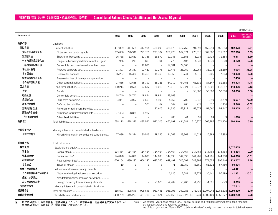# **連結貸借対照表(負債の部・純資産の部、10年間) Consolidated Balance Sheets (Liabilities and Net Assets, 10 years)**

|              |                                                 |           |           |           |           |           |           |                                         |           |                             |           | (百万円 / ¥ million)        |
|--------------|-------------------------------------------------|-----------|-----------|-----------|-----------|-----------|-----------|-----------------------------------------|-----------|-----------------------------|-----------|--------------------------|
| At March 31  |                                                 | 1998      | 1999      | 2000      | 2001      | 2002      | 2003      | 2004                                    | 2005      | 2006                        | 2007      | 対前年同期比(%)<br>(2007/2006) |
| 負債の部         | Liabilities                                     |           |           |           |           |           |           |                                         |           |                             |           |                          |
| 流動負債         |                                                 | 437,899   | 417,628   | 417,904   | 436,093   | 381,678   | 417,760   | 391,693                                 | 450,994   | 452,883                     | 482,373   | 6.51                     |
| 支払手形及び買掛金    | Notes and accounts payable                      | 285,006   | 290,348   | 291,756   | 295,707   | 261,920   | 267,874   | 278,315                                 | 302,667   | 311,567                     | 337,590   | 8.35                     |
| 短期借入金        |                                                 | 16,758    | 12,669    | 12,766    | 16,870    | 10,943    | 10,558    | 8,034                                   | 12,424    | 11.654                      | 9,511     | $-18.39$                 |
| 一年内返済長期借入金   | Long-term borrowing redeemable within 1 year    | 956       | 1,249     | 853       | 1,101     | 778       | 6,407     | 4,033                                   | 4,030     | 2,620                       | 3,120     | 19.08                    |
| 一年内償還転換社債    | Convertible bonds redeemable within 1 year      |           |           | 19,896    |           | 19,181    | 29,663    |                                         |           |                             |           |                          |
| 未払法人税等       |                                                 | 21,307    | 25,367    | 22,481    | 22,278    | 12,475    | 25,059    | 20,964                                  | 31,018    | 28,169                      | 18,034    | $-35.98$                 |
| 賞与引当金        |                                                 | 16,287    | 15,330    | 14,361    | 14,356    | 12,369    | 13,741    | 14,816                                  | 16,706    | 17,303                      | 18,338    | 5.98                     |
| 損害補償損失引当金    | Reserve for loss of damage compensation         |           |           |           |           |           |           |                                         |           |                             | 2,400     |                          |
| その他の流動負債     |                                                 | 97,585    | 72,665    | 55,791    | 85,781    | 64,012    | 64,458    | 65,531                                  | 84,147    | 81,568                      | 93,378    | 14.48                    |
| 固定負債         |                                                 | 100,214   | 100,695   | 77,637    | 86,012    | 79,013    | 66,821    | 119,277                                 | 115,801   | 118,287                     | 118,436   | 0.13                     |
| 社債           | <b>Bonds</b>                                    |           |           |           |           |           |           | 50,000                                  | 50,000    | 50,000                      | 50,000    | 0.00                     |
| 転換社債         |                                                 | 68,740    | 68,740    | 48,844    | 48,844    | 29,663    |           |                                         |           |                             |           |                          |
| 長期借入金        |                                                 | 4.051     | 3.097     | 2.503     | 4.496     | 4.067     | 8.700     | 9.342                                   | 6,399     | 3,719                       | 6,597     | 77.39                    |
| 繰延税金負債       |                                                 |           |           | 303       | 67        | 162       | 265       | 271                                     | 317       | 6,116                       | 5,546     | $-9.32$                  |
| 退職給付引当金      |                                                 |           |           |           | 32,605    | 44,335    | 57,812    | 59,573                                  | 59,060    | 58.447                      | 55,275    | $-5.43$                  |
| 退職給与引当金      | Allowance for retirement benefits               | 27,423    | 28,858    | 25,987    |           |           |           |                                         |           |                             |           |                          |
| その他固定負債      |                                                 |           |           |           |           | 786       | 44        | 91                                      | 24        | 3                           | 1,016     |                          |
| 負債合計         |                                                 | 538.113   | 518,323   | 495,541   | 522.105   | 460.691   | 484,581   | 510,970                                 | 566,796   | 571.170                     | 600,810   | 5.19                     |
| 少数株主持分       | Minority interests in consolidated subsidiaries |           |           |           |           |           |           |                                         |           |                             |           |                          |
| 少数株主持分       | Minority interests in consolidated subsidiaries | 27.089    | 28,324    | 30,513    | 28.325    | 24.769    | 23,363    | 24.028                                  | 25.389    | 27.898                      |           |                          |
| 純資産の部        | Total net assets                                |           |           |           |           |           |           |                                         |           |                             |           |                          |
| 株主資本         |                                                 |           |           |           |           |           |           |                                         |           |                             | 1,027,475 |                          |
| 資本金          |                                                 | 114,464   | 114,464   | 114,464   | 114,464   | 114,464   | 114,464   | 114,464                                 | 114,464   | 114,464                     | 114,464   | 0.00                     |
| 資本剰余金*       |                                                 | 144,898   | 144,898   | 144,898   | 144,898   | 144.898   | 144,898   | 144,901                                 | 144,905   | 144,908                     | 144,898   | $-0.01$                  |
| 利益剰余金*       |                                                 | 626,164   | 639,287   | 666,287   | 685,760   | 688,491   | 705,099   | 743,393                                 | 774,652   | 806,446                     | 828,707   | 2.76                     |
| 自己株式         |                                                 | $-19$     | $-3$      | -3        | -3        | $-71$     | $-21,759$ | $-46,360$                               | $-51,628$ | $-57,450$                   | $-60,594$ |                          |
| 評価・換算差額等     | Valuation and translation adjustments           |           |           |           |           |           |           |                                         |           |                             | 44,421    |                          |
| その他有価証券評価差額金 | Net unrealized gains/lossess on securities      |           |           |           |           | 1,625     | 2,581     | 27,273                                  | 30,441    | 55,489                      | 41,331    | $-25.51$                 |
| 繰延ヘッジ損益      | Net deferred gains/losses on derivatives        |           |           |           |           |           |           |                                         |           |                             | $-3$      |                          |
| 為替換算調整勘定     | Foreign currency translation adjustments        |           |           |           | $-5,678$  | $-2,409$  | $-3,200$  | $-4,935$                                | $-4,891$  | $-549$                      | 3,093     |                          |
| 少数株主持分       | Minority interests in consolidated subsidiaries |           |           |           |           |           |           |                                         |           |                             | 27,542    |                          |
| 純資産合計**      |                                                 | 885,507   | 898,646   | 925,646   | 939,441   | 946,998   | 942,083   |                                         |           | 978,736 1,007,943 1,063,308 | 1,099,439 | 3.40                     |
| 負債純資産合計      |                                                 | 1,450,709 | 1,445,293 | 1,451,700 | 1,489,871 | 1,432,458 |           | 1,450,027 1,513,734 1,600,129 1,662,377 |           |                             | 1,700,250 | 2.28                     |
|              |                                                 |           |           |           |           |           |           |                                         |           |                             |           |                          |

注) 2003年3月期より資本準備金、連詰剰余金はそれぞれ資本剰余金、利益剰余金に変更されました。 2007年3月期より資本合計は、純資産合計に変更されました。

Note: \* As of fiscal year ended March 2003, capital surplus and retained earnings have been renamed<br>as capital surplus and retained earnings.<br>\*\* As of fiscal year ended March 2007, total stockholders' equity has been renam

**D**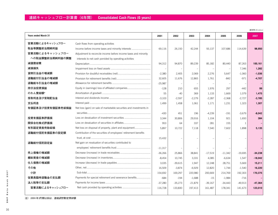|                             |                                                                     |           |           |           |           |           |              | (百万円 / ¥ million) |
|-----------------------------|---------------------------------------------------------------------|-----------|-----------|-----------|-----------|-----------|--------------|-------------------|
| <b>Years ended March 31</b> |                                                                     | 2001      | 2002      | 2003      | 2004      | 2005      | 2006         | 2007              |
| 営業活動によるキャッシュフロー             | Cash flows from operating activities                                |           |           |           |           |           |              |                   |
| 税金等調整前当期純利益                 | Income before income taxes and minority interests                   | 69,116    | 26.150    | 42,244    | 93.137    | 107,686   | 114,639      | 98,950            |
| 営業活動によるキャッシュフロー             | Adjustment to reconcile income before income taxes and minority     |           |           |           |           |           |              |                   |
| への税金調整前当期純利益の調整             | interests to net cash porvided by operating activities              |           |           |           |           |           |              |                   |
| 減価償却費                       |                                                                     | 94,312    | 94,870    | 89,239    | 85,182    | 80,440    | 87,263       | 100,161           |
| 減損損失                        |                                                                     |           |           |           |           |           | 7,346        | 1,282             |
| 貸倒引当金の増減額                   |                                                                     | $-2,380$  | 2,405     | 2,069     | 2,276     | 5,647     | $-1,060$     | $-1,036$          |
| 退職給付引当金の増減額                 |                                                                     | 32,605    | 11.676    | 12.865    | 1.761     | $-842$    | $-971$       | -4,707            |
| 退職給与引当金の増減額                 |                                                                     | $-25,987$ |           |           |           |           |              |                   |
| 持分法投資損益                     | Equity in (earnings) loss of affiliated companies                   | $-128$    | 210       | 655       | 1,976     | 297       | $-442$       | 99                |
| のれん償却額*                     |                                                                     | 55        | $-40$     | 369       | 1,133     | 1,669     | 1,079        | 1,475             |
| 受取利息及び受取配当金                 |                                                                     | $-3.103$  | $-2,597$  | $-2,279$  | $-2,287$  | $-2,368$  | $-2,727$     | $-3.785$          |
| 支払利息                        |                                                                     | 1.499     | 1,458     | 1.061     | 1.171     | 1,231     | 1,323        | 1,307             |
| 有価証券及び投資有価証券売却損益            | Net loss (gain) on sale of marketable securities and investments in |           |           |           |           |           |              |                   |
|                             |                                                                     | $-430$    | 451       | 196       | $-4,239$  | $-191$    | $-3,679$     | $-8,042$          |
| 投資有価証券評価損                   |                                                                     | 3.344     | 30.806    | 29.916    | 1.104     | 921       | 1,650        | 384               |
| 関係会社株式評価損                   |                                                                     | 953       | 64        | 337       | 281       | 155       | $\mathbf{1}$ |                   |
| 有形固定資産売除却損                  |                                                                     | 5.897     | 10,722    | 7.118     | 7,540     | 7,602     | 1,898        | 5,135             |
| 退職給付信託有価証券の設定額              | Contribution of the securities of employees' retirement benefits    |           |           |           |           |           |              |                   |
|                             |                                                                     | 15.432    |           |           |           |           |              |                   |
| 退職給付信託設定益                   | Net gain on revaluation of securities contributed to                |           |           |           |           |           |              |                   |
|                             |                                                                     | $-11,317$ |           |           |           |           |              |                   |
| 売上債権の増減額                    |                                                                     | $-36,266$ | 25,866    | 38,841    | $-17,519$ | $-11,342$ | $-19,695$    | $-34,238$         |
| 棚卸資産の増減額                    |                                                                     | $-8,454$  | 10.745    | 3,331     | 4,085     | $-6,634$  | 1,547        | $-18,042$         |
| 仕入債務の増減額                    |                                                                     | 3,035     | $-39,615$ | 1.947     | 12.248    | 28,751    | 5,669        | 15,211            |
| その他                         |                                                                     | 16,509    | $-3,874$  | $-6,929$  | 12,820    | 1,744     | $-1,540$     | 16,220            |
| 小計                          |                                                                     | 154,692   | 169,297   | 220,980   | 200,669   | 214,769   | 192,303      | 170,375           |
| 従業員臨時退職金の支払額                | Payments for special retirement and severance benefits              | $-684$    | -194      | $-1,688$  | $-15$     | $-1,984$  | $-716$       |                   |
| 法人税等の支払額                    |                                                                     | $-37,280$ | $-35,273$ | $-21,879$ | $-39,167$ | $-34,443$ | -49,913      | $-47,364$         |
| 営業活動によるキャッシュフロー             |                                                                     | 116,728   | 133,830   | 197,413   | 161,487   | 178,341   | 141,673      | 123,010           |
|                             |                                                                     |           |           |           |           |           |              |                   |

注) 2006年3月期以前は、連結調整勘定償却額

2007 **N P D a t a b o o k 2 0 0 7 Noop** Data<br>Data **D**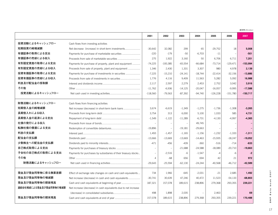|                        |                                                                 | 2001                     | 2002                     | 2003      | 2004      | 2005       | 2006       | 2007       |
|------------------------|-----------------------------------------------------------------|--------------------------|--------------------------|-----------|-----------|------------|------------|------------|
| 投資活動によるキャッシュフロー        | Cash flows from investing activities                            |                          |                          |           |           |            |            |            |
| 短期投資の純増減額              |                                                                 | $-30.642$                | 32.082                   | 299       | 65        | $-29.752$  | 18         | 5.008      |
| 有価証券の取得による支出           | Payments for purchase of marketable securities                  | $-220$                   | $-179$                   | $-50$     | $-6,703$  | $-11$      |            | $-501$     |
| 有価証券の売却による収入           |                                                                 | 275                      | 1,922                    | 3,160     | 50        | 6,706      | 6,711      | 7,201      |
| 有形固定資産の取得による支出         | Payments for purchase of property, plant and equipment          | $-74,225$                | $-100,385$               | $-65,554$ | $-66,684$ | $-73,714$  | $-129,471$ | $-153,994$ |
| 有形固定資産の売却による収入         | Proceeds from sale of property, plant and equipment             | 1,346                    | 2,430                    | 1,331     | 3,307     | 980        | 4,978      | 2,139      |
| 投資有価証券の取得による支出         |                                                                 | $-7,225$                 | $-15,210$                | $-24,141$ | $-18,744$ | $-22,414$  | $-32,156$  | $-13,886$  |
| 投資有価証券の売却による収入         | Proceeds from sale of investments in securites                  | 1,776                    | 4,116                    | 9,409     | 11,563    | 5,282      | 5,092      | 16,988     |
| 利息及び配当金の受取額            |                                                                 | 2,117                    | 2,597                    | 2,279     | 2,453     | 2,752      | 3,042      | 3,916      |
| その他                    |                                                                 | $-11,762$                | $-6,936$                 | $-14,125$ | $-20,047$ | $-16,057$  | $-9,995$   | $-17,588$  |
| 投資活動によるキャッシュフロー        |                                                                 | $-118,560$               | $-79,563$                | $-87,392$ | $-94,740$ | $-126,228$ | $-151,780$ | $-150,717$ |
| 財務活動によるキャッシュフロー        | Cash flows from financing activities                            |                          |                          |           |           |            |            |            |
| 短期借入金の純増減額             | Net increase (decrease) in short-term bank loans                | 3,674                    | $-6,619$                 | $-1.349$  | $-1,275$  | $-1,736$   | $-1,308$   | $-3,265$   |
| 長期借入れによる収入             |                                                                 | 3.754                    | 313                      | 6.000     | 5,100     | 1,033      | 585        | 4,731      |
| 長期借入金の返済による支出          |                                                                 | $-1.549$                 | $-1,122$                 | $-11.289$ | $-6.731$  | $-4.130$   | $-4.997$   | $-4,365$   |
| 社債の発行による収入             |                                                                 |                          | $\overline{\phantom{a}}$ |           | 49.745    |            |            |            |
| 転換社倩の償還による支出           |                                                                 | $-19,896$                |                          | $-19,181$ | $-29,663$ |            |            |            |
| 利息の支払額                 |                                                                 | 1,493                    | $-1,457$                 | $-1,165$  | $-1,156$  | $-1,232$   | $-1,333$   | $-1,311$   |
| 配当金の支払額                |                                                                 | $-13,666$                | $-13,669$                | $-13,669$ | $-14,463$ | $-15,935$  | $-18,247$  | $-19,052$  |
| 少数株主への配当金の支払額          |                                                                 | $-471$                   | $-456$                   | $-439$    | $-360$    | $-516$     | $-714$     | $-633$     |
| 自己株式取得による支出            |                                                                 |                          |                          | $-21,688$ | $-24,588$ | $-18,089$  | $-20,710$  | $-19,663$  |
| 子会社の自己株式の取得による支出       | Payments for purchases by subsidiaries of their treasury stocks | $\overline{\phantom{0}}$ | $-2,516$                 | $-6$      | $-1,547$  | $-4$       | $-6$       | $-2$       |
| その他                    |                                                                 | $\overline{4}$           | $-68$                    | 656       | 694       | 42         | 21         | 972        |
| 財務活動によるキャッシュフロー        |                                                                 | $-29,643$                | $-25,594$                | $-62,130$ | $-24,244$ | $-40,568$  | $-46.712$  | $-42,589$  |
| 現金及び現金同等物に係る換算差額       | Effect of exchange rate changes on cash and cash equivalents    | 734                      | 1,966                    | $-645$    | $-2,031$  | $-21$      | 2,685      | 1,492      |
| 現金及び現金同等物の増減額          | Net increase (decrease) in cash and cash equivalents            | $-30.741$                | 30,639                   | 47,246    | 40,472    | 11,523     | $-54,133$  | $-68,803$  |
| 現金及び現金同等物の期首残高         | Cash and cash equivalents at beginning of year                  | 187,321                  | 157,078                  | 189.615   | 238,896   | 279,368    | 293,355    | 239,221    |
| 連結会社増減による現金及び現金同等物の増減額 | Net increase (decrease) in cash equivalents due to net increase |                          |                          |           |           |            |            |            |
|                        |                                                                 | 498                      | 1.898                    | 2.035     |           | 2.463      |            | 69         |
| 現金及び現金同等物の期末残高         |                                                                 | 157.078                  | 189.615                  | 238.896   | 279.368   | 293.355    | 239.221    | 170.488    |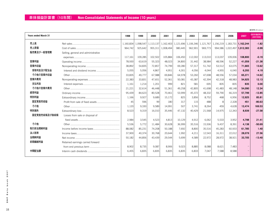|                             |                                     |           |           |           |           |           |         |                     |         |                               |         | (百万円 / ¥ million)        |
|-----------------------------|-------------------------------------|-----------|-----------|-----------|-----------|-----------|---------|---------------------|---------|-------------------------------|---------|--------------------------|
| <b>Years ended March 31</b> |                                     | 1998      | 1999      | 2000      | 2001      | 2002      | 2003    | 2004                | 2005    | 2006                          | 2007    | 対前年増減率(%)<br>(2007/2006) |
| 売上高                         |                                     | 1,160,834 | 1,098,547 | 1,113,137 | 1,162,403 | 1,121,696 |         | 1,106,346 1,121,767 |         | 1,156,219 1,183,731 1,162,244 |         | $-1.82$                  |
| 売上原価                        |                                     | 964,742   | 925,642   | 955,311   | 1,008,494 | 980.445   | 962,901 | 969,773             |         | 994,586 1,022,497 1,012,383   |         | $-0.99$                  |
| 販売費及び一般管理費                  | Selling, general and administrative |           |           |           |           |           |         |                     |         |                               |         |                          |
|                             |                                     | 117,161   | 109,285   | 102,502   | 105,884   | 106,450   | 112,002 | 113,010             | 113,037 | 109,006                       | 108,800 | $-0.19$                  |
| 営業利益                        |                                     | 78,930    | 63,619    | 55,323    | 48,023    | 34,800    | 31,442  | 38,984              | 48,596  | 52,227                        | 41,059  | $-21.38$                 |
| 営業外収益                       |                                     | 38.892    | 54.835    | 72.857    | 74.799    | 69.280    | 57.317  | 51.742              | 53.512  | 63.075                        | 71.665  | 13.62                    |
| 受取利息及び配当金                   |                                     | 5.055     | 5.056     | 4.867     | 4.951     | 4.301     | 4.056   | 4.044               | 4.955   | 6.040                         | 6,293   | 4.19                     |
| その他の営業外収益                   |                                     | 33,835    | 49,777    | 67,988    | 69,846    | 64,978    | 53,260  | 47.698              | 48,556  | 57,034                        | 65,371  | 14.62                    |
| 営業外費用                       |                                     | 22,383    | 33,831    | 47,651    | 52,361    | 50,081    | 43,387  | 42,394              | 42,318  | 48,983                        | 54,925  | 12.13                    |
| 支払利息                        |                                     | 1,161     | 1.214     | 1.201     | 999       | 821       | 581     | 695                 | 835     | 835                           | 835     | 0.00                     |
| その他の営業外費用                   |                                     | 21,221    | 32,614    | 46.448    | 51.361    | 49,258    | 42,805  | 41.698              | 41,483  | 48,148                        | 54.090  | 12.34                    |
| 経常利益                        |                                     | 95,439    | 84,623    | 80,528    | 70,461    | 53,999    | 45,372  | 48,332              | 59,790  | 66,319                        | 57,799  | $-12.85$                 |
| 特別利益                        |                                     | 1.166     | 9.927     | 9,689     | 15.172    | 825       | 3,856   | 8,752               | 468     | 6.956                         | 12,925  | 85.81                    |
| 固定資産売却益                     |                                     | 45        | 596       | 99        | 180       | 317       | 115     | 488                 | 8       | 2,328                         | 451     | $-80.63$                 |
| その他                         |                                     | 1,120     | 9,330     | 9,589     | 14,991    | 507       | 3,741   | 8,264               | 459     | 4,628                         | 12,474  | 169.53                   |
| 特別損失                        |                                     | 8,523     | 9,319     | 16,010    | 35.446    | 47,132    | 40.429  | 21,568              | 14.975  | 12.343                        | 8.939   | $-27.58$                 |
| 固定資産売却損及び除却損                | Losses from sale or disposal of     |           |           |           |           |           |         |                     |         |                               |         |                          |
|                             |                                     | 2,984     | 3,545     | 4,523     | 4,813     | 10,129    | 4,912   | 6,062               | 5,533   | 3,952                         | 4,798   | 21.41                    |
| その他                         |                                     | 5.536     | 5.772     | 11.484    | 30,628    | 36,999    | 35,516  | 15,506              | 9,437   | 8,391                         | 4.138   | $-50.69$                 |
| 税引前当期純利益                    |                                     | 88,082    | 85,231    | 74,208    | 50,188    | 7,692     | 8,800   | 35,516              | 45,283  | 60,933                        | 61,785  | 1.40                     |
| 法人税等                        |                                     | 37,900    | 40.374    | 30.768    | 20.644    | 1.992     | 4,211   | 12,543              | 16,311  | 22,012                        | 28.079  | 27.56                    |
| 当期純利益                       |                                     | 50,182    | 44,856    | 43.439    | 29.544    | 5.699     | 4,589   | 22,972              | 28,972  | 38.921                        | 33,705  | $-13.40$                 |
| 前期繰越利益                      | Retained earnings carried forward   |           |           |           |           |           |         |                     |         |                               |         |                          |
|                             |                                     | 8.902     | 8.735     | 9.087     | 8.906     | 9.023     | 8.885   | 8.088               | 8.621   | 7.483                         |         |                          |
| 中間配当額                       |                                     | 6,455     | 6.835     | 6.835     | 6.835     | 6.835     | 6.833   | 7.047               | 7,588   | 8,588                         |         |                          |
|                             |                                     |           |           |           |           |           |         |                     |         |                               |         |                          |

**2007 N P D a t a b o o k 2 0 0 7**  $\tilde{\mathbf{x}}$  $\circ$  $\mathbf{a}$  $\overline{\mathbf{u}}$  $\overset{\scriptscriptstyle\alpha}{\mathsf{d}}$ **D**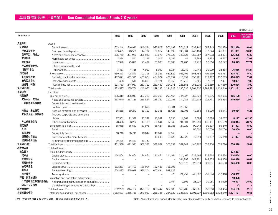|              |                                            |           |           |           |           |                     |           |           |           |           |           | (百万円 / ¥ million)       |
|--------------|--------------------------------------------|-----------|-----------|-----------|-----------|---------------------|-----------|-----------|-----------|-----------|-----------|-------------------------|
| At March 31  |                                            | 1998      | 1999      | 2000      | 2001      | 2002                | 2003      | 2004      | 2005      | 2006      | 2007      | 対前年増減率(%<br>(2007/2006) |
| 資産の部         | Assets                                     |           |           |           |           |                     |           |           |           |           |           |                         |
| 流動資産         |                                            | 603,244   | 546,912   | 540,344   | 582,909   | 551,499             | 574,127   | 633,140   | 682,743   | 630,479   | 592,370   | $-6.04$                 |
| 現金及び預金       |                                            | 193,405   | 148,506   | 144,794   | 139.667   | 143,899             | 196,304   | 240,164   | 277,044   | 226,381   | 151,681   | $-33.00$                |
| 受取手形、売掛金     |                                            | 365,759   | 367,940   | 365,946   | 401,578   | 375,322             | 343,523   | 356,057   | 357,218   | 353,891   | 376,265   | 6.32                    |
| 有価証券         |                                            | 3,234     | 1,850     | 1,195     | 2,019     | 3,159               | 49        | 6,699     | 6,792     | 6,797     | 9,992     | 47.01                   |
| 棚卸資産         |                                            | 37,390    | 23,876    | 23,492    | 31,605    | 25,386              | 21,203    | 19,770    | 20,664    | 20,572    | 28,343    | 37.77                   |
| その他流動資産、     | Other current assets, and                  |           |           |           |           |                     |           |           |           |           |           |                         |
| 貸倒引当金        |                                            | 3,451     | 4,735     | 4,910     | 8,032     | 3,727               | 13,042    | 10,445    | 21,019    | 22,834    | 26,086    | 14.24                   |
| 固定資産         |                                            | 650,353   | 708,843   | 702,716   | 705,225   | 682.822             | 661,402   | 668.786   | 709.539   | 792.761   | 838.761   | 5.80                    |
| 有形固定資産       | Property, plant and equipment              | 437,071   | 462,375   | 453,604   | 454,672   | 438,692             | 413,832   | 396,981   | 419,467   | 457,669   | 490,045   | 7.07                    |
| 無形固定資産       |                                            | 1,498     | 1,510     | 18,001    | 20,121    | 19,859              | 20,718    | 18,525    | 17,682    | 17,431    | 18,651    | 7.00                    |
| 投資等、純額       |                                            | 211,783   | 244,957   | 231,110   | 230,432   | 224,271             | 226,851   | 253,279   | 272,389   | 317,660   | 330.064   | 3.90                    |
| 資産の部合計       |                                            | 1,253,597 | 1,255,756 | 1,243,061 | 1,288,135 | 1,234,322           | 1,235,530 | 1,301,927 | 1,392,282 | 1,423,240 | 1,431,131 | 0.55                    |
| 負債の部         | Liabilities                                |           |           |           |           |                     |           |           |           |           |           |                         |
| 流動負債         |                                            | 366,319   | 326,011   | 307,322   | 330,200   | 293,454             | 344,827   | 350,722   | 441,816   | 452,935   | 485.168   | 7.12                    |
| 支払手形、買掛金     |                                            | 253,670   | 237,186   | 219,844   | 236,122   | 210,156             | 174,486   | 180,508   | 222,741   | 243,334   | 249,669   | 2.60                    |
| 一年内償還転換社債    | Convertible bonds redeemable               |           |           |           |           |                     |           |           |           |           |           |                         |
|              |                                            |           |           | 19,896    |           | 19,181              | 29,663    |           |           |           |           |                         |
| 未払金、未払費用     | Accrued payables and expenses              | 56.888    | 39.249    | 33,121    | 57.351    | 38,428              | 31,705    | 40,566    | 65.990    | 63.941    | 60,564    | $-5.28$                 |
| 未払法人税、事業税等   | Accrued corporate and enterprise           |           |           |           |           |                     |           |           |           |           |           |                         |
|              |                                            | 27,301    | 21,348    | 17,349    | 16,081    | 8,336               | 14,169    | 3,684     | 16,888    | 14,067    | 8,117     | $-42.30$                |
| その他流動負債      |                                            | 28,456    | 28,224    | 17,108    | 20,641    | 17,349              | 94,801    | 125,959   | 136,191   | 131,589   | 166.814   | 26.77                   |
| 固定負債         |                                            | 85,068    | 85,560    | 61,975    | 68,487    | 58,185              | 37,920    | 90,244    | 91,597    | 86,840    | 81,807    | $-5.80$                 |
| 社倩           |                                            |           |           |           |           |                     |           | 50,000    | 50,000    | 50,000    | 50,000    | 0.00                    |
| 転換社債         |                                            | 68,740    | 68,740    | 48,844    | 48,844    | 29,663              |           |           |           |           |           |                         |
| 退職給付引当金      |                                            |           |           |           | 19,643    | 28,522              | 37,920    | 40,244    | 41,597    | 36,840    | 31,807    | $-13.66$                |
| 退職給与引当金      |                                            | 16,328    | 16,820    | 13,131    |           |                     |           |           |           |           |           |                         |
| 負債の部合計       |                                            | 451,388   | 411,571   | 369,297   | 398,687   | 351,639             | 382,747   | 440,966   | 533,414   | 539,776   | 566,976   | 5.04                    |
| 純資産の部        | Total net assets                           |           |           |           |           |                     |           |           |           |           |           |                         |
| 株主資本         |                                            |           |           |           |           |                     |           |           |           |           | 823,287   |                         |
| 資本金          |                                            | 114.464   | 114.464   | 114,464   | 114,464   | 114,464             | 114,464   | 114,464   | 114,464   | 114,464   | 114,464   | 0.00                    |
| 資本剰余金        |                                            |           |           |           |           |                     | 144.898   | 144.901   | 144.905   | 144.908   | 144.898   | $-0.01$                 |
| 利益剰余金        |                                            |           |           |           |           |                     | 612,673   | 620,994   | 621,031   | 626,580   | 624,486   | $-0.33$                 |
| 法定準備金        |                                            | 163,267   | 164,700   | 166,094   | 167,488   | 168,198             |           |           |           |           |           |                         |
| 剰余金          |                                            | 524.477   | 565.018   | 593.204   | 607.494   | 598.622             |           |           |           |           |           |                         |
| 自己株式         |                                            |           |           |           |           | $-70$               | $-21,759$ | $-46,327$ | $-51,594$ | $-57,418$ | $-60,562$ |                         |
| 評価・換算差額等     | Valuation and translation adjustments      |           |           |           |           |                     |           |           |           |           | 40,868    |                         |
| その他有価証券評価差額金 | Net unrealized gains/lossess on securities |           |           |           |           | 1.467               | 2.505     | 26,927    | 30,061    | 54.929    | 40,871    | $-25.59$                |
| 繰延ヘッジ損益      | Net deferred gains/losses on derivatives   |           |           |           |           |                     |           |           |           |           | -3        |                         |
| 純資産合計*       |                                            | 802,209   | 844,184   | 873,763   | 889,447   | 882,682             | 852,782   | 860,961   | 858,868   | 883,464   | 864,155   | $-2.19$                 |
| 負債純資産合計      |                                            | 1,253,597 | 1,255,756 | 1,243,061 |           | 1,288,135 1,234,322 | 1,235,530 | 1,301,927 | 1,392,282 | 1,423,240 | 1,431,131 | 0.55                    |

(注) 2007年3月期より資本合計は、純資産合計に変更されました。

Note: \*As of fiscal year ended March 2007, total stockholders' equity has been renamed to total net assets.

**N P D a t a b o o k 2 0 0 7**

Data  $\frac{\mathbf{a}}{\mathbf{z}}$ 

book 2007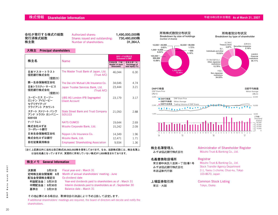# **株式情報 Shareholder Information 平成19年3月31日現在 As of March 31, 2007**

| 会社が発行する株式の総数<br>Authorized shares:<br>発行済株式総数<br>Shares issued and outstanding:<br>株主数<br>Number of shareholders: | 1.490.000.000株<br>730.480.693株<br>31.364人 |  |
|-------------------------------------------------------------------------------------------------------------------|-------------------------------------------|--|
|-------------------------------------------------------------------------------------------------------------------|-------------------------------------------|--|

#### **大株主 Principal shareholders**

| 株主名                                                    | <b>Name</b>                                                  | 当社への出資状況<br><b>Investment in DNP</b>         |                                                  |
|--------------------------------------------------------|--------------------------------------------------------------|----------------------------------------------|--------------------------------------------------|
|                                                        |                                                              | 所有株式数 (千株)<br>Number of share<br>(thousands) | 所有比率*(%)<br>Percentage of<br>total equity $(\%)$ |
| 日本マスタートラスト<br>信託銀行株式会社<br>(信託口)                        | The Master Trust Bank of Japan, Ltd.<br>(Trust A/C)          | 46,044                                       | 6.30                                             |
| 第一生命保険相互会社                                             | The Dai-ichi Mutual Life Insurance Co.                       | 34,646                                       | 4.74                                             |
| 日本トラスティ・サービス<br>信託銀行株式会社<br>(信託口)                      | Japan Trustee Services Bank, Ltd.<br>(Trust A/C)             | 23,444                                       | 3.21                                             |
| ユービーエス エージー<br>ロンドン アイピービー<br>セグリゲイテッド<br>クライアント アカウント | <b>UBS AG London-IPB Segregated</b><br><b>Client Account</b> | 23,179                                       | 3.17                                             |
| ステート ストリート バンク<br>アンド トラスト カンパニー<br>505103             | <b>State Street Bank and Trust Company</b><br>505103         | 21,050                                       | 2.88                                             |
| ナッツ クムコ                                                | <b>NATS CUMCO</b>                                            | 19,644                                       | 2.69                                             |
| 株式会社みずほ<br>コーポレート銀行                                    | Mizuho Corporate Bank, Ltd.                                  | 15,242                                       | 2.09                                             |
| 日本生命保険相互会社                                             | Nippon Life Insurance Co.                                    | 14,349                                       | 196                                              |
| 株式会社みずほ銀行                                              | Mizuho Bank, Ltd.                                            | 12,471                                       | 1 7 1                                            |
| 自社従業員持株会                                               | <b>Employees' Shareholding Association</b>                   | 9,934                                        | 1.36                                             |

**(注1)上記表以外に当社は自己株式35,563,002株を保有しております。なお、当該株式数には、株主名簿上 は当社名義となっていますが、実質的に所有していない株式が1,000株含まれております。**

#### **株主メモ General Information**

| 決算期<br>3月31日 | Fiscal year-end : March 31                                 |
|--------------|------------------------------------------------------------|
| 定時株主総会開催期 6月 | Month of annual shareholders' meeting: June                |
| 配当金受領株主確定日   | Ex-dividend date                                           |
| 利益配当金: 3月31日 | Year-end dividends paid to shareholders as of: March 31    |
| 中間配当金: 9月30日 | Interim dividends paid to shareholders as of: September 30 |
| 基準日 : 3月31日  | Balance date: March 31                                     |

その他必要のある場合は、取締役会の決議により予め公告して設定します。

If additional shareholders' meetings are required, the board of directors will decide and notify the shareholders.



**株主名簿管理人** みずほ信託銀行株式会社

**上場証券取引所**

東京・大阪

**名義書換取扱場所** 東京都中央区八重洲一丁目2番1号 みずほ信託銀行株式会社 本店証券代行部

Administrator of Shareholder Register Mizuho Trust & Banking Co., Ltd.

#### Registrar

Mizuho Trust & Banking Co., Ltd. Stock Transfer Agency Department 2-1, Yaesu 1-chome, Chuo-ku, Tokyo 103-8670, Japan

#### Common Stock Listing Tokyo, Osaka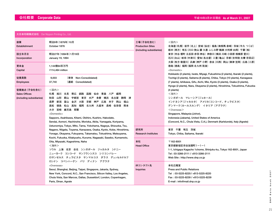| 大日本印刷株式会社 Dai Nippon Printing Co., Ltd.                          |                                                                                                                                                                                                                                                                                                                                                   |                                       |                                                                                                                                                                                                                                                                                              |
|------------------------------------------------------------------|---------------------------------------------------------------------------------------------------------------------------------------------------------------------------------------------------------------------------------------------------------------------------------------------------------------------------------------------------|---------------------------------------|----------------------------------------------------------------------------------------------------------------------------------------------------------------------------------------------------------------------------------------------------------------------------------------------|
| 創業<br>Establishment                                              | 明治9年 (1876年) 10月<br>October 1876                                                                                                                                                                                                                                                                                                                  | 工場 (子会社含む)<br><b>Production Sites</b> | <国内><br> 北海道(札幌) 岩手(北上)宮城(仙台) 福島(南相馬 泉崎) 茨城(牛久 つくば)                                                                                                                                                                                                                                          |
| 設立年月日<br>Incorporation                                           | 明治27年 (1894年) 1月19日<br>January 19, 1894                                                                                                                                                                                                                                                                                                           | (including subsidiaries)              | 栃木 (西方) 埼玉 (川口 狭山 蕨 久喜 ふじみ野 鶴瀬 大利根 白岡) 千葉 (柏)<br>東京 (市谷 榎町 五反田 赤羽 神谷) 神奈川 (横浜 川崎 小田原 相模原 愛川)<br>石川(白山) 岐阜(中津川) 愛知(名古屋) 三重(亀山) 京都(吉祥院 太秦 京田辺)                                                                                                                                                 |
| 資本金<br>Capital                                                   | 1,144億64百万円<br>¥114,464 million                                                                                                                                                                                                                                                                                                                   |                                       | 大阪(枚方 寝屋川) 兵庫(神戸 小野) 奈良(川西)岡山(御津 笠岡) 広島(三原)<br>徳島(徳島)福岡(福岡 北九州筑後)<br><domestic><br/>Hokkaido (2 plants), Iwate, Miyagi, Fukushima (2 plants), Ibaraki (2 plants),</domestic>                                                                                                                 |
| 従業員数<br><b>Employees</b>                                         | (単体 Non-Consolidated)<br>9,003<br>(連結 Consolidated)<br>37,740                                                                                                                                                                                                                                                                                     |                                       | Tochigi (3 plants), Saitama (8 plants), Chiba, Tokyo (10 plants), Kanagawa<br>(7 plants), Ishikawa, Gifu, Aichi, Mie, Kyoto (3 plants), Osaka (3 plants),<br>Hyogo (2 plants), Nara, Okayama (2 plants), Hiroshima, Tokushima, Fukuoka                                                       |
| 営業拠点 (子会社含む)<br><b>Sales Offices</b><br>(including subsidiaries) | <国内><br>札幌 旭川 北見<br>- 帯広 釧路 函館 仙台 青森 八戸 盛岡<br>山形<br>郡山 宇都宮 東京 水戸 多摩 横浜 名古屋 静岡 津<br>秋田<br>長野 新潟<br>富山 金沢 大阪 京都 神戸 広島 米子 岡山 福山<br>徳島<br>松山 高知 福岡 北九州 久留米 長崎 佐世保 熊本<br>高松<br>大分<br>宮崎 鹿児島 那覇<br><domestic><br/>Sapporo, Asahikawa, Kitami, Obihiro, Kushiro, Hakodate,<br/>Sendai, Aomori, Hachinohe, Morioka, Akita, Yamagata, Koriyama,</domestic> |                                       | (4 plants)<br><海外><br>シンガポール マレーシア(ジョホール)<br>インドネシア(ジャカルタ) アメリカ(コンコード、チュラビスタ)<br>デンマーク(カールスルンデ) イタリア (アグラテ)<br>$<$ Overseas $>$<br>Singapore, Malaysia (Johor),<br>Indonesia (Jakarta), United States of America<br>(Concord, N.C., Chula Vista, C.A.), Denmark (Karlslunde), Italy (Agrate) |
|                                                                  | Ustunomiya, Tokyo, Mito, Tama, Yokohama, Nagoya, Shizuoka, Tsu,<br>Nagano, Niigata, Toyama, Kanazawa, Osaka, Kyoto, Kobe, Hiroshima,<br>Yonago, Okayama, Fukuyama, Takamatsu, Tokushima, Matsuyama,<br>Kochi, Fukuoka, Kitakyushu, Kurume, Nagasaki, Sasebo, Kumamoto,                                                                            | 研究所<br><b>Research Institutes</b>     | 東京 千葉 埼玉 茨城<br>Tokyo, Chiba, Saitama, Ibaraki                                                                                                                                                                                                                                                |
|                                                                  | Oita, Miyazaki, Kagoshima, Naha<br><海外><br>ソウル 上海 北京 台北 シンガポール ジャカルタ シドニー<br>ニューヨーク コンコード サンフランシスコ シリコンバレー<br>ロサンゼルス チュラビスタ サンマルコス ダラス デュッセルドルフ                                                                                                                                                                                                   | 本社<br><b>Head Office</b>              | $\overline{7}$ 162-8001<br>東京都新宿区市谷加賀町1-1-1<br>1-1, Ichigaya Kagacho 1chome, Shinjuku-ku, Tokyo 162-8001, Japan<br>Tel: 03-3266-2111 / +813-3266-2111<br>Web Site: http://www.dnp.co.jp                                                                                                      |
|                                                                  | ロンドン コペンハーゲン パリ ディナン アグラテ<br><overseas><br/>Seoul, Shanghai, Beijing, Taipei, Singapore, Jakarta, Sydney,<br/>New York, Concord, N.C., San Francisco, Silicon Valley, Los Angeles,<br/>Chula Vista, San Marcos, Dallas, Dusseldorf, London, Copenhagen,<br/>Paris, Dinan, Agrate</overseas>                                                       | IRコンタクト先<br>Inquiries                 | 本社広報室<br><b>Press and Public Relations</b><br>Tel: 03-5225-8220/+813-5225-8220<br>Fax: 03-5225-8239 / +813-5225-8239<br>E-mail: info@mail.dnp.co.jp                                                                                                                                          |

Data book 2007 **N P D a t a b o o k 2 0 0 7 D**